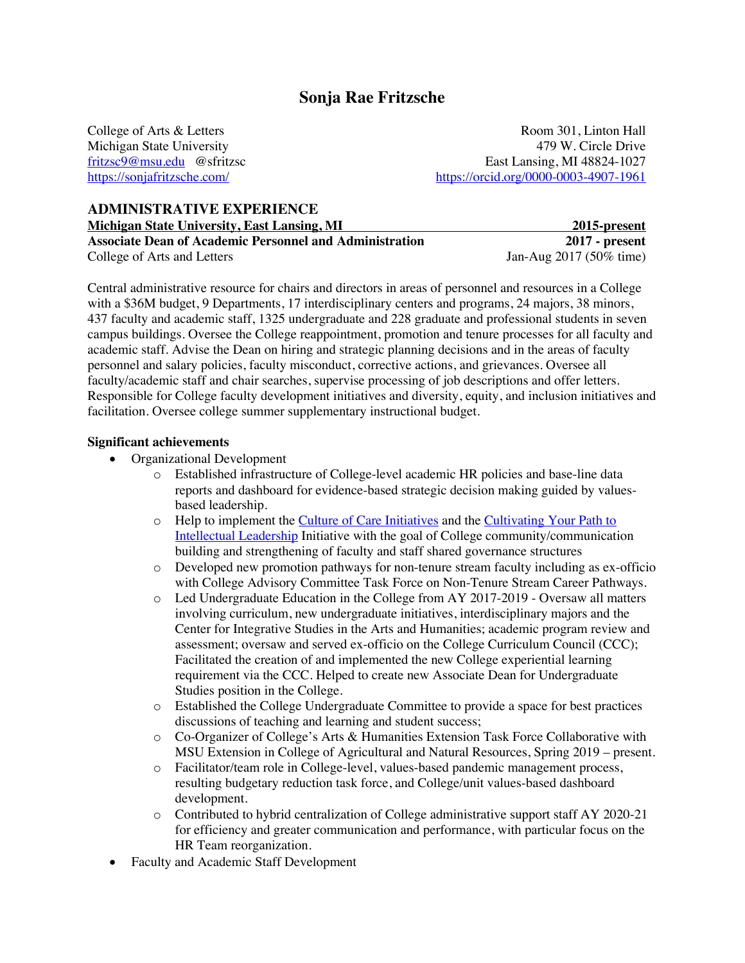# **Sonja Rae Fritzsche**

College of Arts & Letters Room 301, Linton Hall Michigan State University 479 W. Circle Drive fritzsc9@msu.edu @sfritzsc East Lansing, MI 48824-1027 https://sonjafritzsche.com/ https://orcid.org/0000-0003-4907-1961

# **ADMINISTRATIVE EXPERIENCE**

**Michigan State University, East Lansing, MI** 2015-2015-2015 2015 2015 2015 2015 2017 - present **Associate Dean of Academic Personnel and Administration** 2017 - present<br>College of Arts and Letters **2017** - **1** Jan-Aug 2017 (50% time) College of Arts and Letters

Central administrative resource for chairs and directors in areas of personnel and resources in a College with a \$36M budget, 9 Departments, 17 interdisciplinary centers and programs, 24 majors, 38 minors, 437 faculty and academic staff, 1325 undergraduate and 228 graduate and professional students in seven campus buildings. Oversee the College reappointment, promotion and tenure processes for all faculty and academic staff. Advise the Dean on hiring and strategic planning decisions and in the areas of faculty personnel and salary policies, faculty misconduct, corrective actions, and grievances. Oversee all faculty/academic staff and chair searches, supervise processing of job descriptions and offer letters. Responsible for College faculty development initiatives and diversity, equity, and inclusion initiatives and facilitation. Oversee college summer supplementary instructional budget.

#### **Significant achievements**

- Organizational Development
	- o Established infrastructure of College-level academic HR policies and base-line data reports and dashboard for evidence-based strategic decision making guided by valuesbased leadership.
	- o Help to implement the Culture of Care Initiatives and the Cultivating Your Path to Intellectual Leadership Initiative with the goal of College community/communication building and strengthening of faculty and staff shared governance structures
	- o Developed new promotion pathways for non-tenure stream faculty including as ex-officio with College Advisory Committee Task Force on Non-Tenure Stream Career Pathways.
	- o Led Undergraduate Education in the College from AY 2017-2019 Oversaw all matters involving curriculum, new undergraduate initiatives, interdisciplinary majors and the Center for Integrative Studies in the Arts and Humanities; academic program review and assessment; oversaw and served ex-officio on the College Curriculum Council (CCC); Facilitated the creation of and implemented the new College experiential learning requirement via the CCC. Helped to create new Associate Dean for Undergraduate Studies position in the College.
	- o Established the College Undergraduate Committee to provide a space for best practices discussions of teaching and learning and student success;
	- o Co-Organizer of College's Arts & Humanities Extension Task Force Collaborative with MSU Extension in College of Agricultural and Natural Resources, Spring 2019 – present.
	- o Facilitator/team role in College-level, values-based pandemic management process, resulting budgetary reduction task force, and College/unit values-based dashboard development.
	- o Contributed to hybrid centralization of College administrative support staff AY 2020-21 for efficiency and greater communication and performance, with particular focus on the HR Team reorganization.
- Faculty and Academic Staff Development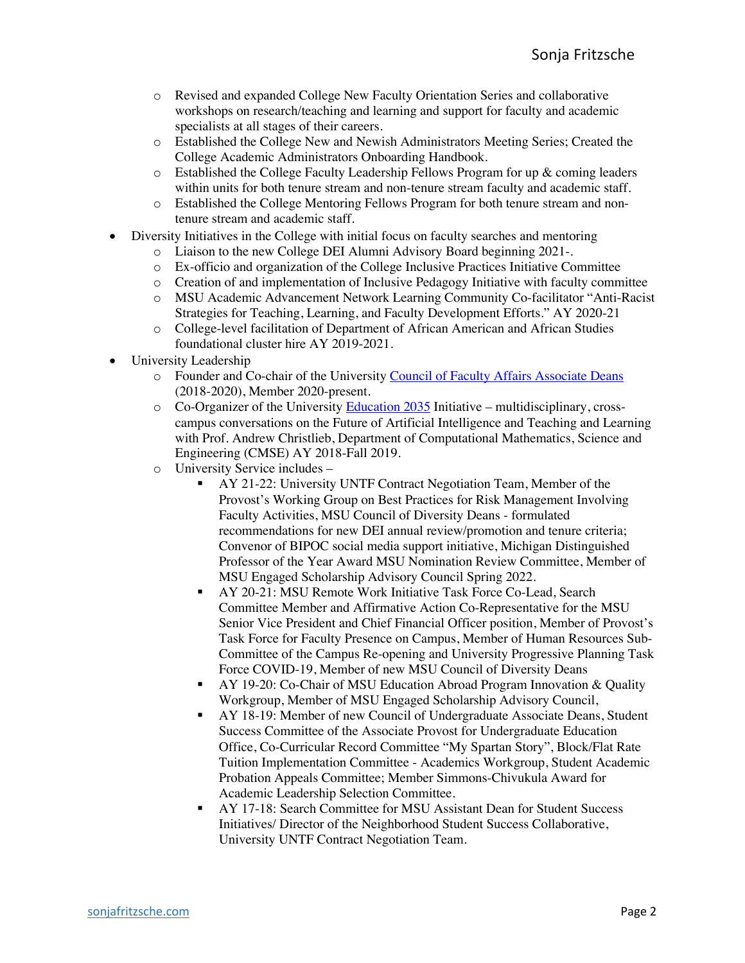- o Revised and expanded College New Faculty Orientation Series and collaborative workshops on research/teaching and learning and support for faculty and academic specialists at all stages of their careers.
- o Established the College New and Newish Administrators Meeting Series; Created the College Academic Administrators Onboarding Handbook.
- o Established the College Faculty Leadership Fellows Program for up & coming leaders within units for both tenure stream and non-tenure stream faculty and academic staff.
- o Established the College Mentoring Fellows Program for both tenure stream and nontenure stream and academic staff.
- Diversity Initiatives in the College with initial focus on faculty searches and mentoring
	- o Liaison to the new College DEI Alumni Advisory Board beginning 2021-.
	- o Ex-officio and organization of the College Inclusive Practices Initiative Committee
	- o Creation of and implementation of Inclusive Pedagogy Initiative with faculty committee
	- o MSU Academic Advancement Network Learning Community Co-facilitator "Anti-Racist Strategies for Teaching, Learning, and Faculty Development Efforts." AY 2020-21
	- o College-level facilitation of Department of African American and African Studies foundational cluster hire AY 2019-2021.
- University Leadership
	- o Founder and Co-chair of the University Council of Faculty Affairs Associate Deans (2018-2020), Member 2020-present.
	- o Co-Organizer of the University Education 2035 Initiative multidisciplinary, crosscampus conversations on the Future of Artificial Intelligence and Teaching and Learning with Prof. Andrew Christlieb, Department of Computational Mathematics, Science and Engineering (CMSE) AY 2018-Fall 2019.
	- o University Service includes
		- **AY 21-22: University UNTF Contract Negotiation Team, Member of the** Provost's Working Group on Best Practices for Risk Management Involving Faculty Activities, MSU Council of Diversity Deans - formulated recommendations for new DEI annual review/promotion and tenure criteria; Convenor of BIPOC social media support initiative, Michigan Distinguished Professor of the Year Award MSU Nomination Review Committee, Member of MSU Engaged Scholarship Advisory Council Spring 2022.
		- **AY 20-21: MSU Remote Work Initiative Task Force Co-Lead, Search** Committee Member and Affirmative Action Co-Representative for the MSU Senior Vice President and Chief Financial Officer position, Member of Provost's Task Force for Faculty Presence on Campus, Member of Human Resources Sub-Committee of the Campus Re-opening and University Progressive Planning Task Force COVID-19, Member of new MSU Council of Diversity Deans
		- § AY 19-20: Co-Chair of MSU Education Abroad Program Innovation & Quality Workgroup, Member of MSU Engaged Scholarship Advisory Council,
		- § AY 18-19: Member of new Council of Undergraduate Associate Deans, Student Success Committee of the Associate Provost for Undergraduate Education Office, Co-Curricular Record Committee "My Spartan Story", Block/Flat Rate Tuition Implementation Committee - Academics Workgroup, Student Academic Probation Appeals Committee; Member Simmons-Chivukula Award for Academic Leadership Selection Committee.
		- § AY 17-18: Search Committee for MSU Assistant Dean for Student Success Initiatives/ Director of the Neighborhood Student Success Collaborative, University UNTF Contract Negotiation Team.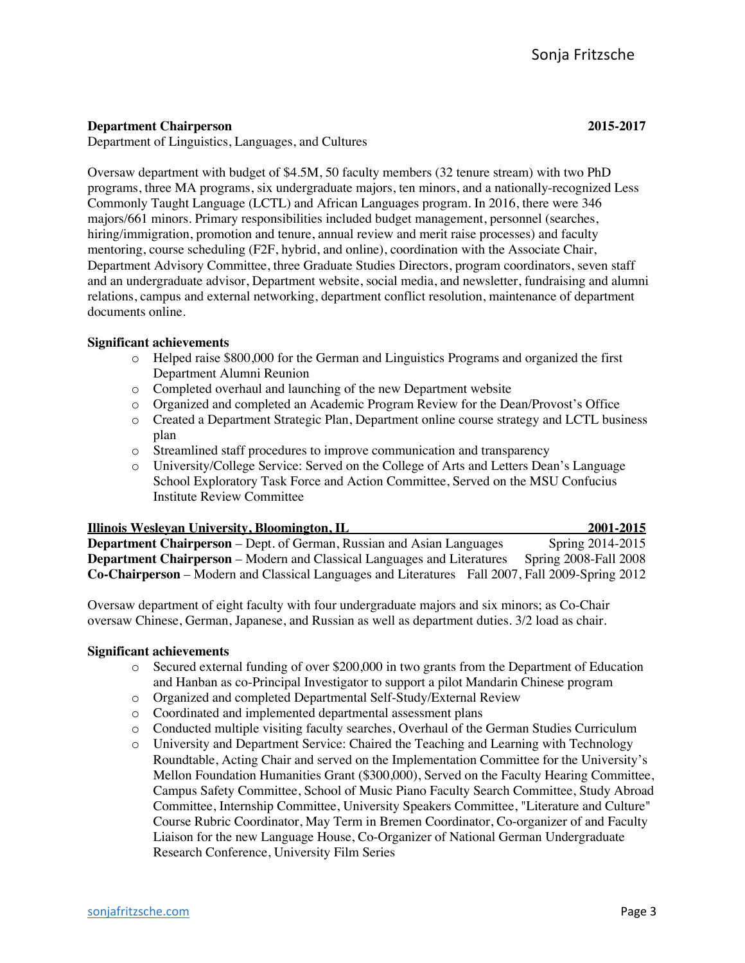### **Department Chairperson 2015-2017**

Department of Linguistics, Languages, and Cultures

Oversaw department with budget of \$4.5M, 50 faculty members (32 tenure stream) with two PhD programs, three MA programs, six undergraduate majors, ten minors, and a nationally-recognized Less Commonly Taught Language (LCTL) and African Languages program. In 2016, there were 346 majors/661 minors. Primary responsibilities included budget management, personnel (searches, hiring/immigration, promotion and tenure, annual review and merit raise processes) and faculty mentoring, course scheduling (F2F, hybrid, and online), coordination with the Associate Chair, Department Advisory Committee, three Graduate Studies Directors, program coordinators, seven staff and an undergraduate advisor, Department website, social media, and newsletter, fundraising and alumni relations, campus and external networking, department conflict resolution, maintenance of department documents online.

#### **Significant achievements**

- o Helped raise \$800,000 for the German and Linguistics Programs and organized the first Department Alumni Reunion
- o Completed overhaul and launching of the new Department website
- o Organized and completed an Academic Program Review for the Dean/Provost's Office
- o Created a Department Strategic Plan, Department online course strategy and LCTL business plan
- o Streamlined staff procedures to improve communication and transparency
- o University/College Service: Served on the College of Arts and Letters Dean's Language School Exploratory Task Force and Action Committee, Served on the MSU Confucius Institute Review Committee

| <b>Illinois Wesleyan University, Bloomington, IL</b>                                                    | 2001-2015                    |
|---------------------------------------------------------------------------------------------------------|------------------------------|
| <b>Department Chairperson</b> – Dept. of German, Russian and Asian Languages                            | Spring 2014-2015             |
| <b>Department Chairperson</b> – Modern and Classical Languages and Literatures                          | <b>Spring 2008-Fall 2008</b> |
| <b>Co-Chairperson</b> – Modern and Classical Languages and Literatures Fall 2007, Fall 2009-Spring 2012 |                              |

Oversaw department of eight faculty with four undergraduate majors and six minors; as Co-Chair oversaw Chinese, German, Japanese, and Russian as well as department duties. 3/2 load as chair.

#### **Significant achievements**

- o Secured external funding of over \$200,000 in two grants from the Department of Education and Hanban as co-Principal Investigator to support a pilot Mandarin Chinese program
- o Organized and completed Departmental Self-Study/External Review
- o Coordinated and implemented departmental assessment plans
- o Conducted multiple visiting faculty searches, Overhaul of the German Studies Curriculum
- o University and Department Service: Chaired the Teaching and Learning with Technology Roundtable, Acting Chair and served on the Implementation Committee for the University's Mellon Foundation Humanities Grant (\$300,000), Served on the Faculty Hearing Committee, Campus Safety Committee, School of Music Piano Faculty Search Committee, Study Abroad Committee, Internship Committee, University Speakers Committee, "Literature and Culture" Course Rubric Coordinator, May Term in Bremen Coordinator, Co-organizer of and Faculty Liaison for the new Language House, Co-Organizer of National German Undergraduate Research Conference, University Film Series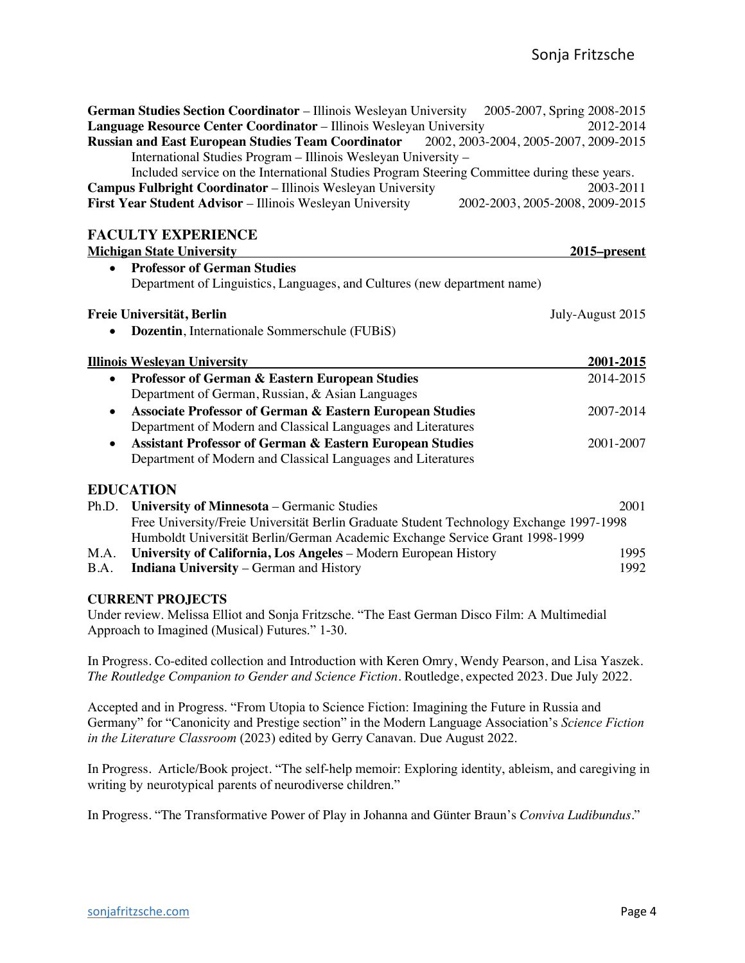**German Studies Section Coordinator** – Illinois Wesleyan University 2005-2007, Spring 2008-2015 **Language Resource Center Coordinator** – Illinois Wesleyan University 2012-2014<br>**Russian and East European Studies Team Coordinator** 2002, 2003-2004, 2005-2007, 2009-2015 **Russian and East European Studies Team Coordinator** 

International Studies Program – Illinois Wesleyan University – Included service on the International Studies Program Steering Committee during these years. **Campus Fulbright Coordinator** – Illinois Wesleyan University 2003-2011 **First Year Student Advisor** – Illinois Wesleyan University 2002-2003, 2005-2008, 2009-2015

## **FACULTY EXPERIENCE**

|           | <b>Michigan State University</b>                                                        | <u>2015–present</u> |
|-----------|-----------------------------------------------------------------------------------------|---------------------|
|           | <b>Professor of German Studies</b>                                                      |                     |
|           | Department of Linguistics, Languages, and Cultures (new department name)                |                     |
|           | Freie Universität, Berlin                                                               | July-August 2015    |
|           | <b>Dozentin</b> , Internationale Sommerschule (FUBiS)                                   |                     |
|           | <b>Illinois Wesleyan University</b>                                                     | 2001-2015           |
|           | Professor of German & Eastern European Studies                                          | 2014-2015           |
|           | Department of German, Russian, & Asian Languages                                        |                     |
| $\bullet$ | <b>Associate Professor of German &amp; Eastern European Studies</b>                     | 2007-2014           |
|           | Department of Modern and Classical Languages and Literatures                            |                     |
| $\bullet$ | <b>Assistant Professor of German &amp; Eastern European Studies</b>                     | 2001-2007           |
|           | Department of Modern and Classical Languages and Literatures                            |                     |
|           | <b>EDUCATION</b>                                                                        |                     |
|           | Ph.D. University of Minnesota – Germanic Studies                                        | 2001                |
|           | Free University/Freie Universität Berlin Graduate Student Technology Exchange 1997-1998 |                     |
|           | Humboldt Universität Berlin/German Academic Exchange Service Grant 1998-1999            |                     |
| M.A.      | University of California, Los Angeles - Modern European History                         | 1995                |
| B.A.      | <b>Indiana University</b> – German and History                                          | 1992                |

#### **CURRENT PROJECTS**

Under review. Melissa Elliot and Sonja Fritzsche. "The East German Disco Film: A Multimedial Approach to Imagined (Musical) Futures." 1-30.

In Progress. Co-edited collection and Introduction with Keren Omry, Wendy Pearson, and Lisa Yaszek. *The Routledge Companion to Gender and Science Fiction*. Routledge, expected 2023. Due July 2022.

Accepted and in Progress. "From Utopia to Science Fiction: Imagining the Future in Russia and Germany" for "Canonicity and Prestige section" in the Modern Language Association's *Science Fiction in the Literature Classroom* (2023) edited by Gerry Canavan. Due August 2022.

In Progress. Article/Book project. "The self-help memoir: Exploring identity, ableism, and caregiving in writing by neurotypical parents of neurodiverse children."

In Progress. "The Transformative Power of Play in Johanna and Günter Braun's *Conviva Ludibundus*."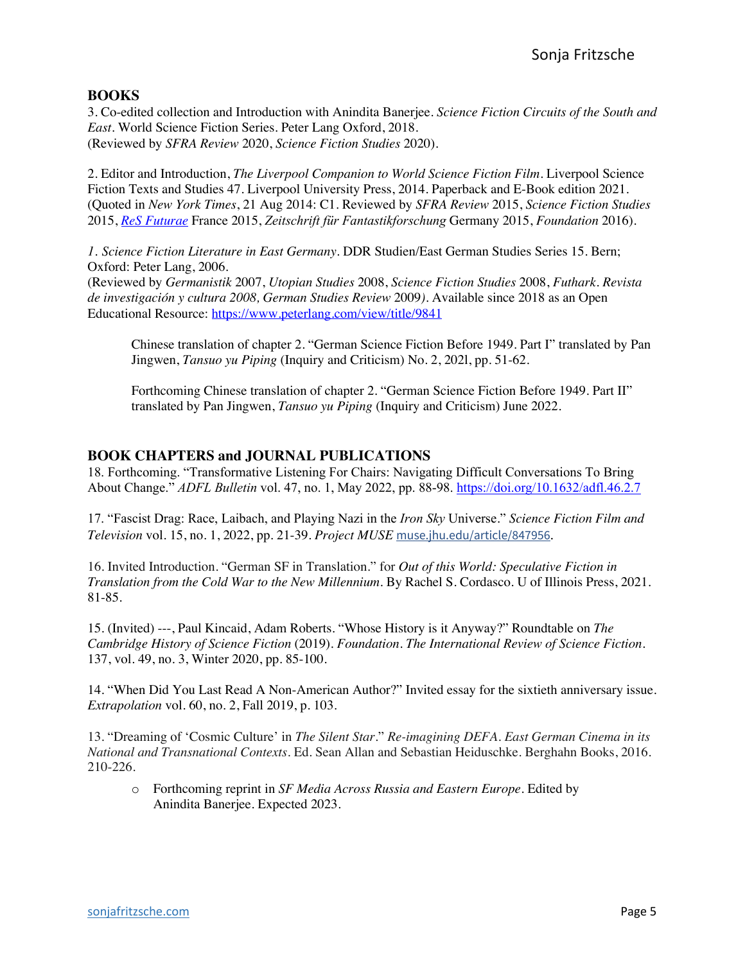### **BOOKS**

3. Co-edited collection and Introduction with Anindita Banerjee. *Science Fiction Circuits of the South and East*. World Science Fiction Series. Peter Lang Oxford, 2018. (Reviewed by *SFRA Review* 2020, *Science Fiction Studies* 2020).

2. Editor and Introduction, *The Liverpool Companion to World Science Fiction Film*. Liverpool Science Fiction Texts and Studies 47. Liverpool University Press, 2014. Paperback and E-Book edition 2021. (Quoted in *New York Times*, 21 Aug 2014: C1. Reviewed by *SFRA Review* 2015, *Science Fiction Studies* 2015, *ReS Futurae* France 2015, *Zeitschrift für Fantastikforschung* Germany 2015, *Foundation* 2016).

*1. Science Fiction Literature in East Germany*. DDR Studien/East German Studies Series 15. Bern; Oxford: Peter Lang, 2006.

(Reviewed by *Germanistik* 2007, *Utopian Studies* 2008, *Science Fiction Studies* 2008, *Futhark. Revista de investigación y cultura 2008, German Studies Review* 2009*)*. Available since 2018 as an Open Educational Resource: https://www.peterlang.com/view/title/9841

Chinese translation of chapter 2. "German Science Fiction Before 1949. Part I" translated by Pan Jingwen, *Tansuo yu Piping* (Inquiry and Criticism) No. 2, 202l, pp. 51-62.

Forthcoming Chinese translation of chapter 2. "German Science Fiction Before 1949. Part II" translated by Pan Jingwen, *Tansuo yu Piping* (Inquiry and Criticism) June 2022.

## **BOOK CHAPTERS and JOURNAL PUBLICATIONS**

18. Forthcoming. "Transformative Listening For Chairs: Navigating Difficult Conversations To Bring About Change." *ADFL Bulletin* vol. 47, no. 1, May 2022, pp. 88-98. https://doi.org/10.1632/adfl.46.2.7

17. "Fascist Drag: Race, Laibach, and Playing Nazi in the *Iron Sky* Universe." *Science Fiction Film and Television* vol. 15, no. 1, 2022, pp. 21-39. *Project MUSE* muse.jhu.edu/article/847956.

16. Invited Introduction. "German SF in Translation." for *Out of this World: Speculative Fiction in Translation from the Cold War to the New Millennium*. By Rachel S. Cordasco. U of Illinois Press, 2021. 81-85.

15. (Invited) ---, Paul Kincaid, Adam Roberts. "Whose History is it Anyway?" Roundtable on *The Cambridge History of Science Fiction* (2019). *Foundation*. *The International Review of Science Fiction*. 137, vol. 49, no. 3, Winter 2020, pp. 85-100.

14. "When Did You Last Read A Non-American Author?" Invited essay for the sixtieth anniversary issue. *Extrapolation* vol. 60, no. 2, Fall 2019, p. 103.

13. "Dreaming of 'Cosmic Culture' in *The Silent Star*." *Re-imagining DEFA. East German Cinema in its National and Transnational Contexts*. Ed. Sean Allan and Sebastian Heiduschke. Berghahn Books, 2016. 210-226.

o Forthcoming reprint in *SF Media Across Russia and Eastern Europe*. Edited by Anindita Banerjee. Expected 2023.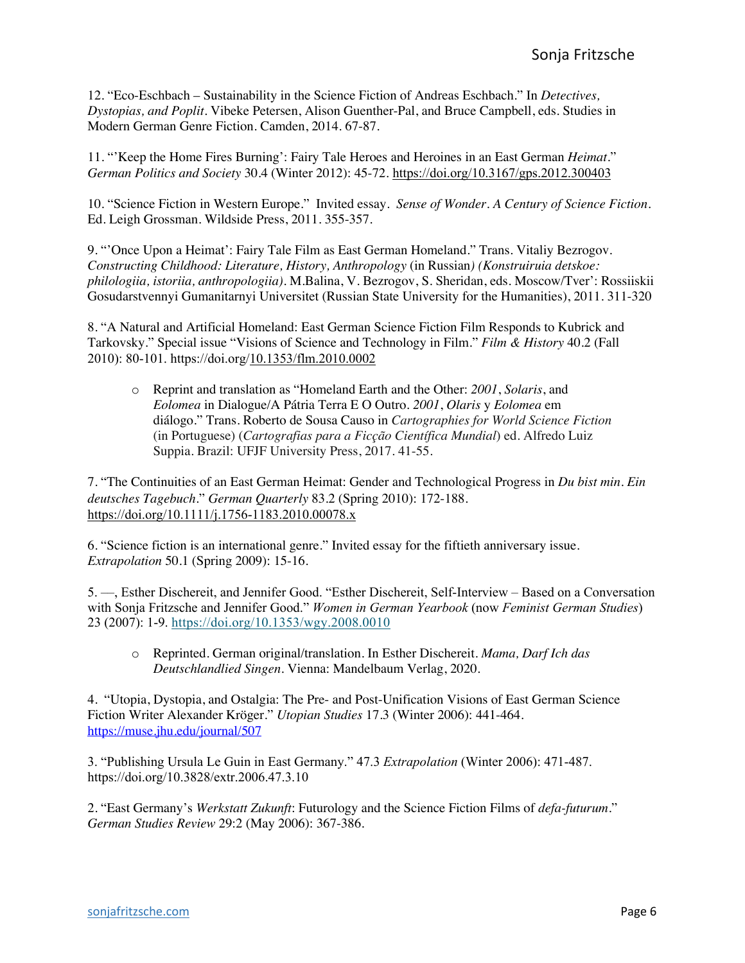12. "Eco-Eschbach – Sustainability in the Science Fiction of Andreas Eschbach." In *Detectives, Dystopias, and Poplit.* Vibeke Petersen, Alison Guenther-Pal, and Bruce Campbell, eds. Studies in Modern German Genre Fiction. Camden, 2014. 67-87.

11. "'Keep the Home Fires Burning': Fairy Tale Heroes and Heroines in an East German *Heimat*." *German Politics and Society* 30.4 (Winter 2012): 45-72. https://doi.org/10.3167/gps.2012.300403

10. "Science Fiction in Western Europe." Invited essay. *Sense of Wonder. A Century of Science Fiction.*  Ed. Leigh Grossman. Wildside Press, 2011. 355-357.

9. "'Once Upon a Heimat': Fairy Tale Film as East German Homeland." Trans. Vitaliy Bezrogov. *Constructing Childhood: Literature, History, Anthropology* (in Russian*) (Konstruiruia detskoe: philologiia, istoriia, anthropologiia).* M.Balina, V. Bezrogov, S. Sheridan, eds. Moscow/Tver': Rossiiskii Gosudarstvennyi Gumanitarnyi Universitet (Russian State University for the Humanities), 2011. 311-320

8. "A Natural and Artificial Homeland: East German Science Fiction Film Responds to Kubrick and Tarkovsky." Special issue "Visions of Science and Technology in Film." *Film & History* 40.2 (Fall 2010): 80-101. https://doi.org/10.1353/flm.2010.0002

o Reprint and translation as "Homeland Earth and the Other: *2001*, *Solaris*, and *Eolomea* in Dialogue/A Pátria Terra E O Outro. *2001*, *Olaris* y *Eolomea* em diálogo." Trans. Roberto de Sousa Causo in *Cartographies for World Science Fiction*  (in Portuguese) (*Cartografias para a Ficção Científica Mundial*) ed. Alfredo Luiz Suppia. Brazil: UFJF University Press, 2017. 41-55.

7. "The Continuities of an East German Heimat: Gender and Technological Progress in *Du bist min*. *Ein deutsches Tagebuch*." *German Quarterly* 83.2 (Spring 2010): 172-188. https://doi.org/10.1111/j.1756-1183.2010.00078.x

6. "Science fiction is an international genre." Invited essay for the fiftieth anniversary issue. *Extrapolation* 50.1 (Spring 2009): 15-16.

5. ––, Esther Dischereit, and Jennifer Good. "Esther Dischereit, Self-Interview – Based on a Conversation with Sonja Fritzsche and Jennifer Good." *Women in German Yearbook* (now *Feminist German Studies*) 23 (2007): 1-9. https://doi.org/10.1353/wgy.2008.0010

o Reprinted. German original/translation. In Esther Dischereit. *Mama, Darf Ich das Deutschlandlied Singen.* Vienna: Mandelbaum Verlag, 2020.

4. "Utopia, Dystopia, and Ostalgia: The Pre- and Post-Unification Visions of East German Science Fiction Writer Alexander Kröger." *Utopian Studies* 17.3 (Winter 2006): 441-464. https://muse.jhu.edu/journal/507

3. "Publishing Ursula Le Guin in East Germany." 47.3 *Extrapolation* (Winter 2006): 471-487. https://doi.org/10.3828/extr.2006.47.3.10

2. "East Germany's *Werkstatt Zukunft*: Futurology and the Science Fiction Films of *defa-futurum*." *German Studies Review* 29:2 (May 2006): 367-386.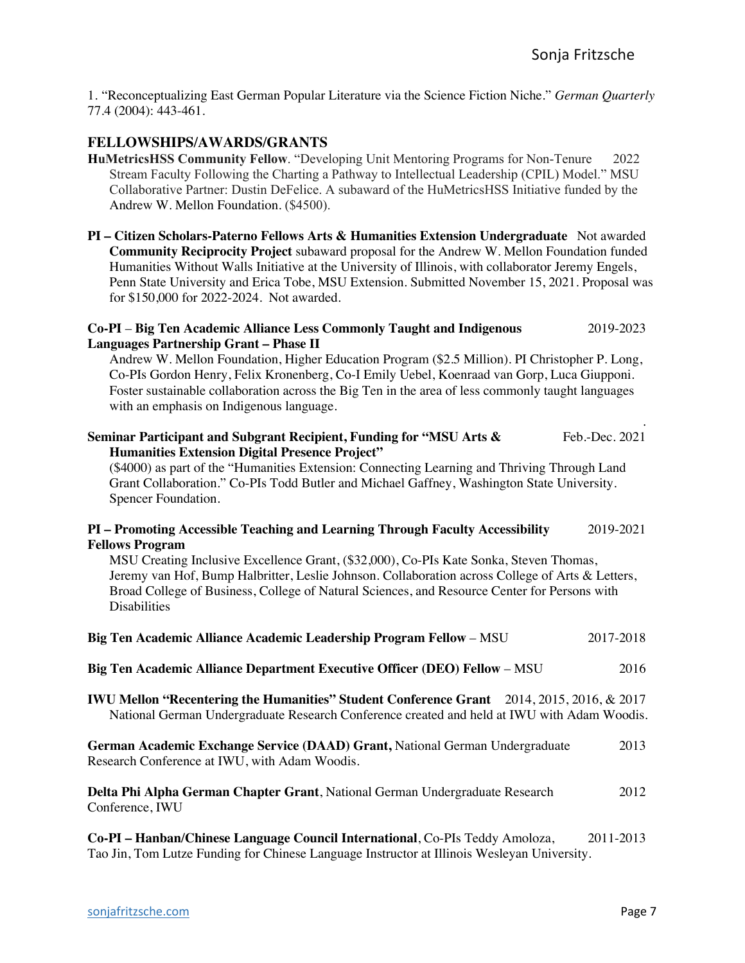1. "Reconceptualizing East German Popular Literature via the Science Fiction Niche." *German Quarterly* 77.4 (2004): 443-461.

### **FELLOWSHIPS/AWARDS/GRANTS**

**HuMetricsHSS Community Fellow**. "Developing Unit Mentoring Programs for Non-Tenure 2022 Stream Faculty Following the Charting a Pathway to Intellectual Leadership (CPIL) Model." MSU Collaborative Partner: Dustin DeFelice. A subaward of the HuMetricsHSS Initiative funded by the Andrew W. Mellon Foundation. (\$4500).

**PI – Citizen Scholars-Paterno Fellows Arts & Humanities Extension Undergraduate** Not awarded **Community Reciprocity Project** subaward proposal for the Andrew W. Mellon Foundation funded Humanities Without Walls Initiative at the University of Illinois, with collaborator Jeremy Engels, Penn State University and Erica Tobe, MSU Extension. Submitted November 15, 2021. Proposal was for \$150,000 for 2022-2024. Not awarded.

#### **Co-PI** – **Big Ten Academic Alliance Less Commonly Taught and Indigenous** 2019-2023 **Languages Partnership Grant – Phase II**

Andrew W. Mellon Foundation, Higher Education Program (\$2.5 Million). PI Christopher P. Long, Co-PIs Gordon Henry, Felix Kronenberg, Co-I Emily Uebel, Koenraad van Gorp, Luca Giupponi. Foster sustainable collaboration across the Big Ten in the area of less commonly taught languages with an emphasis on Indigenous language.

| Seminar Participant and Subgrant Recipient, Funding for "MSU Arts &                          | Feb.-Dec. 2021 |
|----------------------------------------------------------------------------------------------|----------------|
| <b>Humanities Extension Digital Presence Project"</b>                                        |                |
| (\$4000) as part of the "Humanities Extension: Connecting Learning and Thriving Through Land |                |

Grant Collaboration." Co-PIs Todd Butler and Michael Gaffney, Washington State University. Spencer Foundation.

#### **PI – Promoting Accessible Teaching and Learning Through Faculty Accessibility** 2019-2021 **Fellows Program**

MSU Creating Inclusive Excellence Grant, (\$32,000), Co-PIs Kate Sonka, Steven Thomas, Jeremy van Hof, Bump Halbritter, Leslie Johnson. Collaboration across College of Arts & Letters, Broad College of Business, College of Natural Sciences, and Resource Center for Persons with **Disabilities** 

| Big Ten Academic Alliance Academic Leadership Program Fellow – MSU                                                                                                                              | 2017-2018 |
|-------------------------------------------------------------------------------------------------------------------------------------------------------------------------------------------------|-----------|
| Big Ten Academic Alliance Department Executive Officer (DEO) Fellow - MSU                                                                                                                       | 2016      |
| <b>IWU Mellon "Recentering the Humanities" Student Conference Grant</b> 2014, 2015, 2016, & 2017<br>National German Undergraduate Research Conference created and held at IWU with Adam Woodis. |           |
| German Academic Exchange Service (DAAD) Grant, National German Undergraduate<br>Research Conference at IWU, with Adam Woodis.                                                                   | 2013      |
| Delta Phi Alpha German Chapter Grant, National German Undergraduate Research<br>Conference, IWU                                                                                                 | 2012      |

**Co-PI – Hanban/Chinese Language Council International**, Co-PIs Teddy Amoloza, 2011-2013 Tao Jin, Tom Lutze Funding for Chinese Language Instructor at Illinois Wesleyan University.

.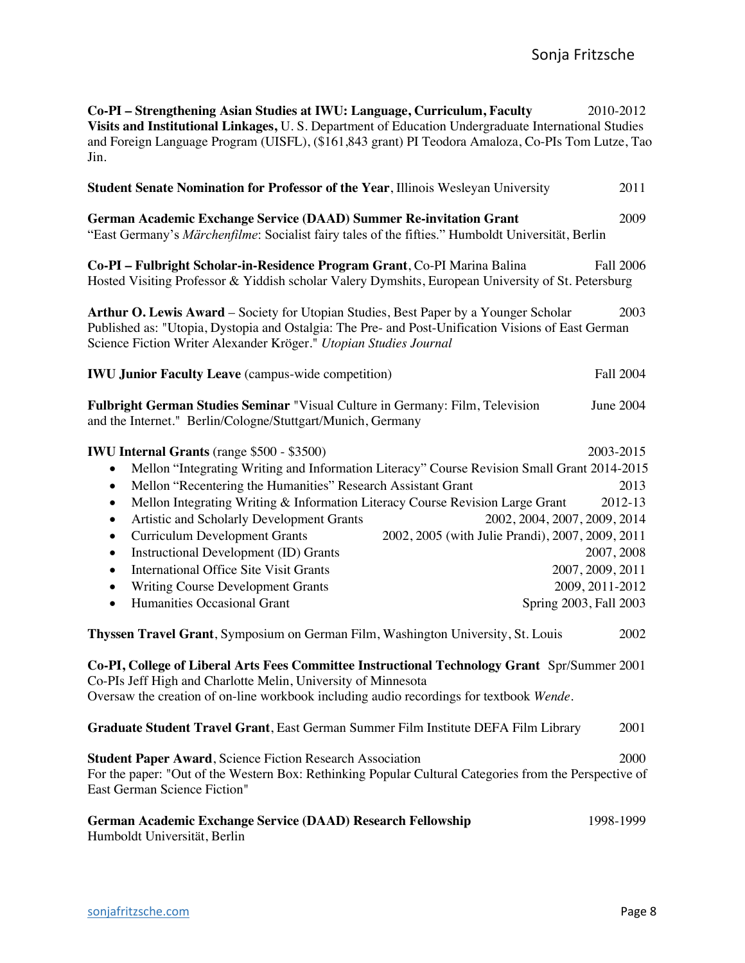| Co-PI - Strengthening Asian Studies at IWU: Language, Curriculum, Faculty<br>Visits and Institutional Linkages, U.S. Department of Education Undergraduate International Studies<br>and Foreign Language Program (UISFL), (\$161,843 grant) PI Teodora Amaloza, Co-PIs Tom Lutze, Tao<br>Jin.                                                                                                                                                                                                                                                                                                                                                                                                                                                                           | 2010-2012                                                                         |
|-------------------------------------------------------------------------------------------------------------------------------------------------------------------------------------------------------------------------------------------------------------------------------------------------------------------------------------------------------------------------------------------------------------------------------------------------------------------------------------------------------------------------------------------------------------------------------------------------------------------------------------------------------------------------------------------------------------------------------------------------------------------------|-----------------------------------------------------------------------------------|
| <b>Student Senate Nomination for Professor of the Year, Illinois Wesleyan University</b>                                                                                                                                                                                                                                                                                                                                                                                                                                                                                                                                                                                                                                                                                | 2011                                                                              |
| German Academic Exchange Service (DAAD) Summer Re-invitation Grant<br>"East Germany's Märchenfilme: Socialist fairy tales of the fifties." Humboldt Universität, Berlin                                                                                                                                                                                                                                                                                                                                                                                                                                                                                                                                                                                                 | 2009                                                                              |
| Co-PI - Fulbright Scholar-in-Residence Program Grant, Co-PI Marina Balina<br>Hosted Visiting Professor & Yiddish scholar Valery Dymshits, European University of St. Petersburg                                                                                                                                                                                                                                                                                                                                                                                                                                                                                                                                                                                         | <b>Fall 2006</b>                                                                  |
| Arthur O. Lewis Award – Society for Utopian Studies, Best Paper by a Younger Scholar<br>Published as: "Utopia, Dystopia and Ostalgia: The Pre- and Post-Unification Visions of East German<br>Science Fiction Writer Alexander Kröger." Utopian Studies Journal                                                                                                                                                                                                                                                                                                                                                                                                                                                                                                         | 2003                                                                              |
| <b>IWU Junior Faculty Leave</b> (campus-wide competition)                                                                                                                                                                                                                                                                                                                                                                                                                                                                                                                                                                                                                                                                                                               | <b>Fall 2004</b>                                                                  |
| Fulbright German Studies Seminar "Visual Culture in Germany: Film, Television<br>and the Internet." Berlin/Cologne/Stuttgart/Munich, Germany                                                                                                                                                                                                                                                                                                                                                                                                                                                                                                                                                                                                                            | <b>June 2004</b>                                                                  |
| <b>IWU Internal Grants</b> (range \$500 - \$3500)<br>Mellon "Integrating Writing and Information Literacy" Course Revision Small Grant 2014-2015<br>٠<br>Mellon "Recentering the Humanities" Research Assistant Grant<br>$\bullet$<br>Mellon Integrating Writing & Information Literacy Course Revision Large Grant<br>$\bullet$<br>2002, 2004, 2007, 2009, 2014<br>Artistic and Scholarly Development Grants<br>$\bullet$<br><b>Curriculum Development Grants</b><br>2002, 2005 (with Julie Prandi), 2007, 2009, 2011<br>٠<br>Instructional Development (ID) Grants<br>$\bullet$<br><b>International Office Site Visit Grants</b><br>$\bullet$<br>Writing Course Development Grants<br>$\bullet$<br>Humanities Occasional Grant<br>Spring 2003, Fall 2003<br>$\bullet$ | 2003-2015<br>2013<br>2012-13<br>2007, 2008<br>2007, 2009, 2011<br>2009, 2011-2012 |
| Thyssen Travel Grant, Symposium on German Film, Washington University, St. Louis<br>Co-PI, College of Liberal Arts Fees Committee Instructional Technology Grant Spr/Summer 2001                                                                                                                                                                                                                                                                                                                                                                                                                                                                                                                                                                                        | 2002                                                                              |
| Co-PIs Jeff High and Charlotte Melin, University of Minnesota<br>Oversaw the creation of on-line workbook including audio recordings for textbook Wende.                                                                                                                                                                                                                                                                                                                                                                                                                                                                                                                                                                                                                |                                                                                   |
| Graduate Student Travel Grant, East German Summer Film Institute DEFA Film Library                                                                                                                                                                                                                                                                                                                                                                                                                                                                                                                                                                                                                                                                                      | 2001                                                                              |
| <b>Student Paper Award, Science Fiction Research Association</b><br>For the paper: "Out of the Western Box: Rethinking Popular Cultural Categories from the Perspective of<br>East German Science Fiction"                                                                                                                                                                                                                                                                                                                                                                                                                                                                                                                                                              | 2000                                                                              |
| <b>German Academic Exchange Service (DAAD) Research Fellowship</b><br>Humboldt Universität, Berlin                                                                                                                                                                                                                                                                                                                                                                                                                                                                                                                                                                                                                                                                      | 1998-1999                                                                         |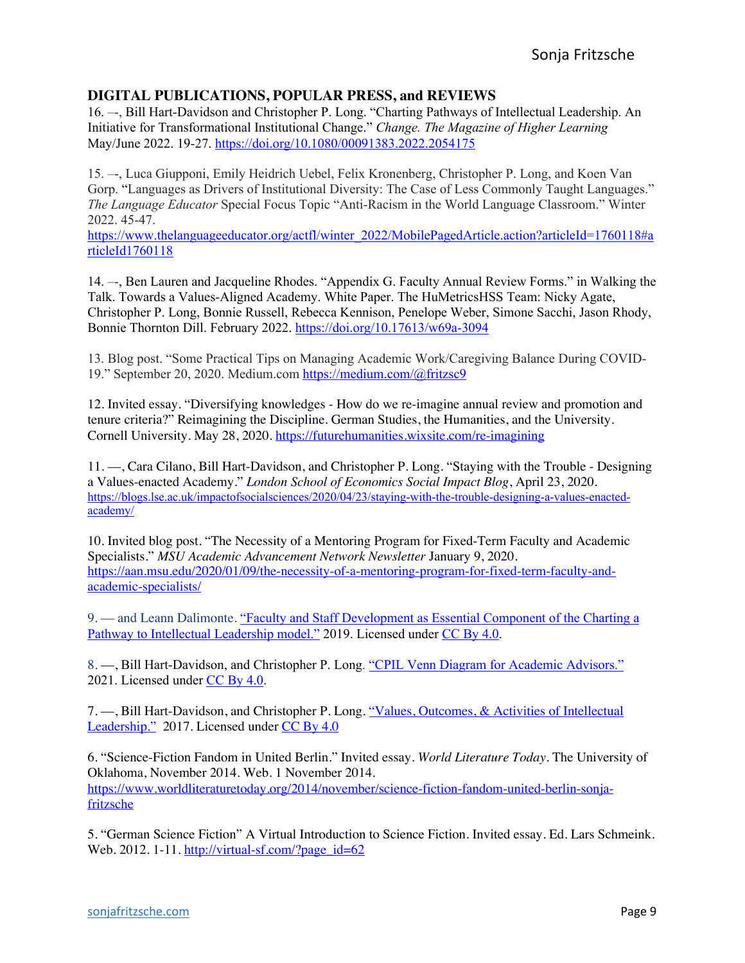## **DIGITAL PUBLICATIONS, POPULAR PRESS, and REVIEWS**

16. –-, Bill Hart-Davidson and Christopher P. Long. "Charting Pathways of Intellectual Leadership. An Initiative for Transformational Institutional Change." *Change. The Magazine of Higher Learning* May/June 2022. 19-27. https://doi.org/10.1080/00091383.2022.2054175

15. –-, Luca Giupponi, Emily Heidrich Uebel, Felix Kronenberg, Christopher P. Long, and Koen Van Gorp. "Languages as Drivers of Institutional Diversity: The Case of Less Commonly Taught Languages." *The Language Educator* Special Focus Topic "Anti-Racism in the World Language Classroom." Winter 2022. 45-47.

https://www.thelanguageeducator.org/actfl/winter\_2022/MobilePagedArticle.action?articleId=1760118#a rticleId1760118

14. –-, Ben Lauren and Jacqueline Rhodes. "Appendix G. Faculty Annual Review Forms." in Walking the Talk. Towards a Values-Aligned Academy. White Paper. The HuMetricsHSS Team: Nicky Agate, Christopher P. Long, Bonnie Russell, Rebecca Kennison, Penelope Weber, Simone Sacchi, Jason Rhody, Bonnie Thornton Dill. February 2022. https://doi.org/10.17613/w69a-3094

13. Blog post. "Some Practical Tips on Managing Academic Work/Caregiving Balance During COVID-19." September 20, 2020. Medium.com https://medium.com/@fritzsc9

12. Invited essay. "Diversifying knowledges - How do we re-imagine annual review and promotion and tenure criteria?" Reimagining the Discipline. German Studies, the Humanities, and the University. Cornell University. May 28, 2020. https://futurehumanities.wixsite.com/re-imagining

11. ––, Cara Cilano, Bill Hart-Davidson, and Christopher P. Long. "Staying with the Trouble - Designing a Values-enacted Academy." *London School of Economics Social Impact Blog*, April 23, 2020. https://blogs.lse.ac.uk/impactofsocialsciences/2020/04/23/staying-with-the-trouble-designing-a-values-enactedacademy/

10. Invited blog post. "The Necessity of a Mentoring Program for Fixed-Term Faculty and Academic Specialists." *MSU Academic Advancement Network Newsletter* January 9, 2020. https://aan.msu.edu/2020/01/09/the-necessity-of-a-mentoring-program-for-fixed-term-faculty-andacademic-specialists/

9. –– and Leann Dalimonte. "Faculty and Staff Development as Essential Component of the Charting a Pathway to Intellectual Leadership model." 2019. Licensed under CC By 4.0.

8. --, Bill Hart-Davidson, and Christopher P. Long. "CPIL Venn Diagram for Academic Advisors." 2021. Licensed under CC By 4.0.

7. --, Bill Hart-Davidson, and Christopher P. Long. "Values, Outcomes, & Activities of Intellectual Leadership." 2017. Licensed under CC By 4.0

6. "Science-Fiction Fandom in United Berlin." Invited essay. *World Literature Today*. The University of Oklahoma, November 2014. Web. 1 November 2014. https://www.worldliteraturetoday.org/2014/november/science-fiction-fandom-united-berlin-sonjafritzsche

5. "German Science Fiction" A Virtual Introduction to Science Fiction. Invited essay. Ed. Lars Schmeink. Web. 2012. 1-11. http://virtual-sf.com/?page\_id=62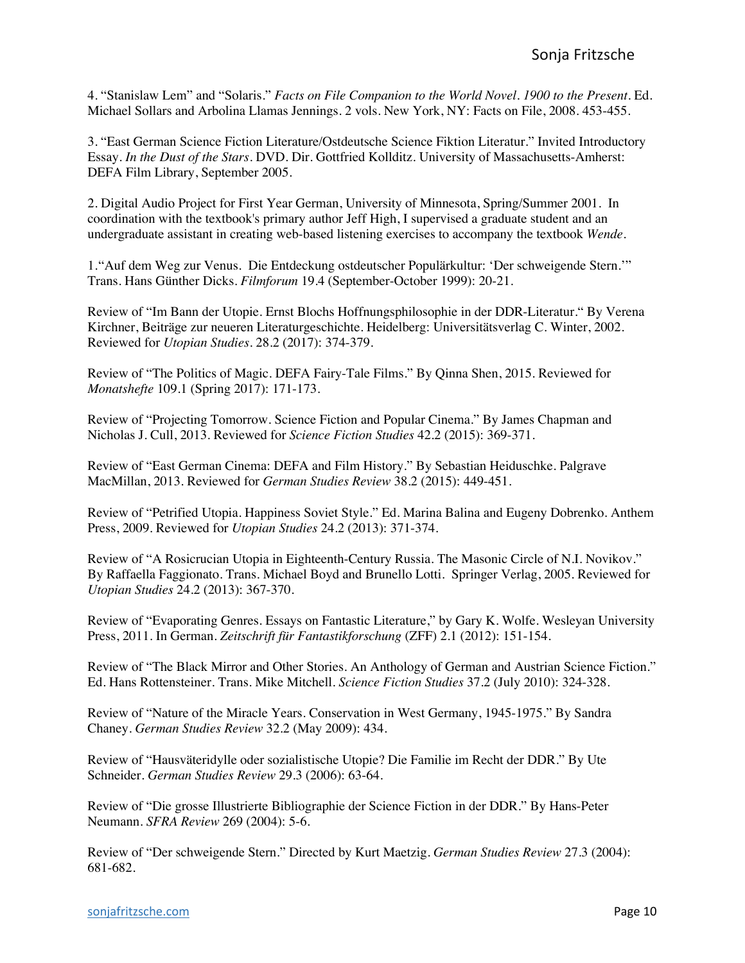4. "Stanislaw Lem" and "Solaris." *Facts on File Companion to the World Novel. 1900 to the Present*. Ed. Michael Sollars and Arbolina Llamas Jennings. 2 vols. New York, NY: Facts on File, 2008. 453-455.

3. "East German Science Fiction Literature/Ostdeutsche Science Fiktion Literatur." Invited Introductory Essay*. In the Dust of the Stars*. DVD. Dir. Gottfried Kollditz. University of Massachusetts-Amherst: DEFA Film Library, September 2005.

2. Digital Audio Project for First Year German, University of Minnesota, Spring/Summer 2001. In coordination with the textbook's primary author Jeff High, I supervised a graduate student and an undergraduate assistant in creating web-based listening exercises to accompany the textbook *Wende*.

1."Auf dem Weg zur Venus. Die Entdeckung ostdeutscher Populärkultur: 'Der schweigende Stern.'" Trans. Hans Günther Dicks. *Filmforum* 19.4 (September-October 1999): 20-21.

Review of "Im Bann der Utopie. Ernst Blochs Hoffnungsphilosophie in der DDR-Literatur*.*" By Verena Kirchner, Beiträge zur neueren Literaturgeschichte. Heidelberg: Universitätsverlag C. Winter, 2002. Reviewed for *Utopian Studies*. 28.2 (2017): 374-379.

Review of "The Politics of Magic. DEFA Fairy-Tale Films." By Qinna Shen, 2015. Reviewed for *Monatshefte* 109.1 (Spring 2017): 171-173.

Review of "Projecting Tomorrow. Science Fiction and Popular Cinema." By James Chapman and Nicholas J. Cull, 2013. Reviewed for *Science Fiction Studies* 42.2 (2015): 369-371.

Review of "East German Cinema: DEFA and Film History." By Sebastian Heiduschke. Palgrave MacMillan, 2013. Reviewed for *German Studies Review* 38.2 (2015): 449-451.

Review of "Petrified Utopia. Happiness Soviet Style." Ed. Marina Balina and Eugeny Dobrenko. Anthem Press, 2009. Reviewed for *Utopian Studies* 24.2 (2013): 371-374.

Review of "A Rosicrucian Utopia in Eighteenth-Century Russia. The Masonic Circle of N.I. Novikov." By Raffaella Faggionato. Trans. Michael Boyd and Brunello Lotti. Springer Verlag, 2005. Reviewed for *Utopian Studies* 24.2 (2013): 367-370.

Review of "Evaporating Genres. Essays on Fantastic Literature," by Gary K. Wolfe. Wesleyan University Press, 2011. In German. *Zeitschrift für Fantastikforschung* (ZFF) 2.1 (2012): 151-154.

Review of "The Black Mirror and Other Stories. An Anthology of German and Austrian Science Fiction." Ed. Hans Rottensteiner. Trans. Mike Mitchell. *Science Fiction Studies* 37.2 (July 2010): 324-328.

Review of "Nature of the Miracle Years. Conservation in West Germany, 1945-1975." By Sandra Chaney. *German Studies Review* 32.2 (May 2009): 434.

Review of "Hausväteridylle oder sozialistische Utopie? Die Familie im Recht der DDR." By Ute Schneider. *German Studies Review* 29.3 (2006): 63-64.

Review of "Die grosse Illustrierte Bibliographie der Science Fiction in der DDR." By Hans-Peter Neumann. *SFRA Review* 269 (2004): 5-6.

Review of "Der schweigende Stern." Directed by Kurt Maetzig. *German Studies Review* 27.3 (2004): 681-682.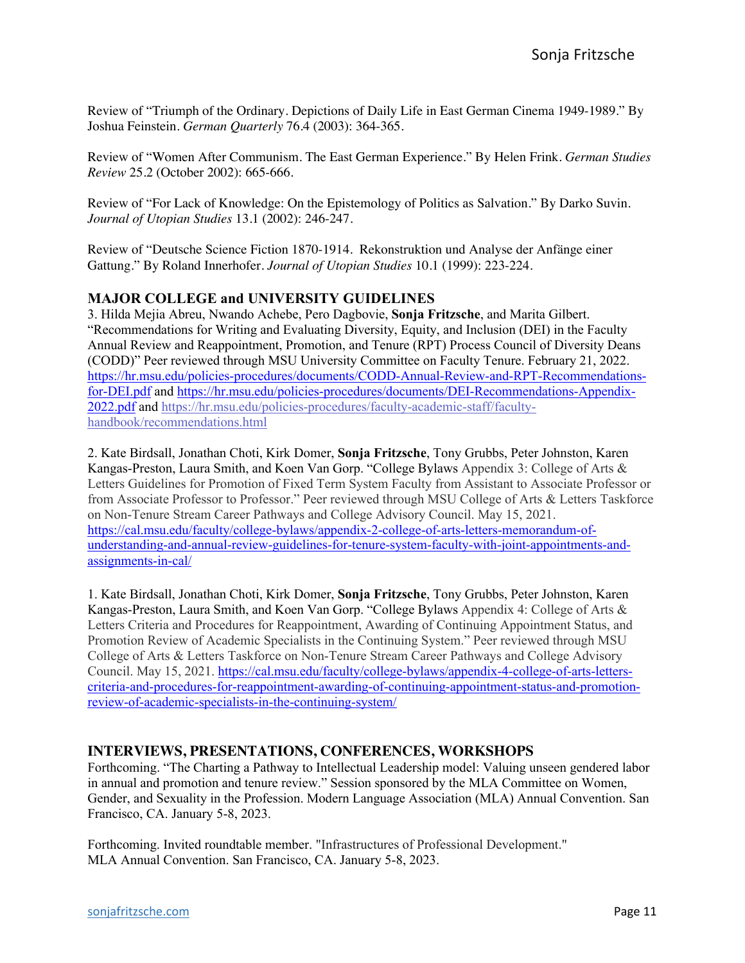Review of "Triumph of the Ordinary. Depictions of Daily Life in East German Cinema 1949-1989." By Joshua Feinstein. *German Quarterly* 76.4 (2003): 364-365.

Review of "Women After Communism. The East German Experience." By Helen Frink. *German Studies Review* 25.2 (October 2002): 665-666.

Review of "For Lack of Knowledge: On the Epistemology of Politics as Salvation." By Darko Suvin. *Journal of Utopian Studies* 13.1 (2002): 246-247.

Review of "Deutsche Science Fiction 1870-1914. Rekonstruktion und Analyse der Anfänge einer Gattung*.*" By Roland Innerhofer. *Journal of Utopian Studies* 10.1 (1999): 223-224.

### **MAJOR COLLEGE and UNIVERSITY GUIDELINES**

3. Hilda Mejia Abreu, Nwando Achebe, Pero Dagbovie, **Sonja Fritzsche**, and Marita Gilbert. "Recommendations for Writing and Evaluating Diversity, Equity, and Inclusion (DEI) in the Faculty Annual Review and Reappointment, Promotion, and Tenure (RPT) Process Council of Diversity Deans (CODD)" Peer reviewed through MSU University Committee on Faculty Tenure. February 21, 2022. https://hr.msu.edu/policies-procedures/documents/CODD-Annual-Review-and-RPT-Recommendationsfor-DEI.pdf and https://hr.msu.edu/policies-procedures/documents/DEI-Recommendations-Appendix-2022.pdf and https://hr.msu.edu/policies-procedures/faculty-academic-staff/facultyhandbook/recommendations.html

2. Kate Birdsall, Jonathan Choti, Kirk Domer, **Sonja Fritzsche**, Tony Grubbs, Peter Johnston, Karen Kangas-Preston, Laura Smith, and Koen Van Gorp. "College Bylaws Appendix 3: College of Arts & Letters Guidelines for Promotion of Fixed Term System Faculty from Assistant to Associate Professor or from Associate Professor to Professor." Peer reviewed through MSU College of Arts & Letters Taskforce on Non-Tenure Stream Career Pathways and College Advisory Council. May 15, 2021. https://cal.msu.edu/faculty/college-bylaws/appendix-2-college-of-arts-letters-memorandum-ofunderstanding-and-annual-review-guidelines-for-tenure-system-faculty-with-joint-appointments-andassignments-in-cal/

1. Kate Birdsall, Jonathan Choti, Kirk Domer, **Sonja Fritzsche**, Tony Grubbs, Peter Johnston, Karen Kangas-Preston, Laura Smith, and Koen Van Gorp. "College Bylaws Appendix 4: College of Arts & Letters Criteria and Procedures for Reappointment, Awarding of Continuing Appointment Status, and Promotion Review of Academic Specialists in the Continuing System." Peer reviewed through MSU College of Arts & Letters Taskforce on Non-Tenure Stream Career Pathways and College Advisory Council. May 15, 2021. https://cal.msu.edu/faculty/college-bylaws/appendix-4-college-of-arts-letterscriteria-and-procedures-for-reappointment-awarding-of-continuing-appointment-status-and-promotionreview-of-academic-specialists-in-the-continuing-system/

#### **INTERVIEWS, PRESENTATIONS, CONFERENCES, WORKSHOPS**

Forthcoming. "The Charting a Pathway to Intellectual Leadership model: Valuing unseen gendered labor in annual and promotion and tenure review." Session sponsored by the MLA Committee on Women, Gender, and Sexuality in the Profession. Modern Language Association (MLA) Annual Convention. San Francisco, CA. January 5-8, 2023.

Forthcoming. Invited roundtable member. "Infrastructures of Professional Development." MLA Annual Convention. San Francisco, CA. January 5-8, 2023.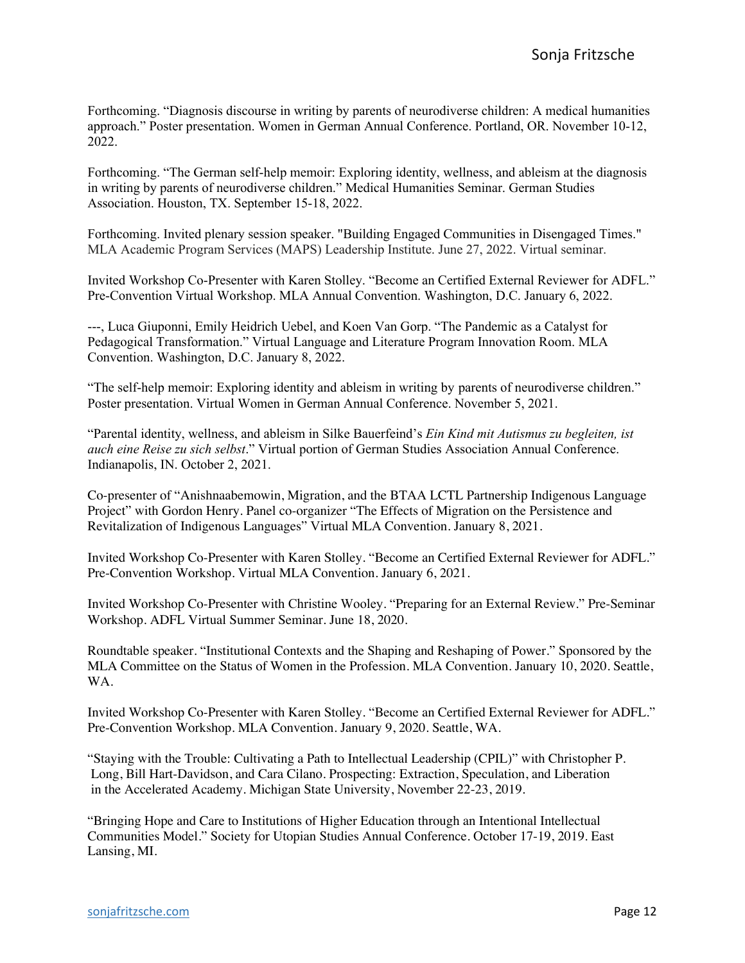Forthcoming. "Diagnosis discourse in writing by parents of neurodiverse children: A medical humanities approach." Poster presentation. Women in German Annual Conference. Portland, OR. November 10-12, 2022.

Forthcoming. "The German self-help memoir: Exploring identity, wellness, and ableism at the diagnosis in writing by parents of neurodiverse children." Medical Humanities Seminar. German Studies Association. Houston, TX. September 15-18, 2022.

Forthcoming. Invited plenary session speaker. "Building Engaged Communities in Disengaged Times." MLA Academic Program Services (MAPS) Leadership Institute. June 27, 2022. Virtual seminar.

Invited Workshop Co-Presenter with Karen Stolley. "Become an Certified External Reviewer for ADFL." Pre-Convention Virtual Workshop. MLA Annual Convention. Washington, D.C. January 6, 2022.

---, Luca Giuponni, Emily Heidrich Uebel, and Koen Van Gorp. "The Pandemic as a Catalyst for Pedagogical Transformation." Virtual Language and Literature Program Innovation Room. MLA Convention. Washington, D.C. January 8, 2022.

"The self-help memoir: Exploring identity and ableism in writing by parents of neurodiverse children." Poster presentation. Virtual Women in German Annual Conference. November 5, 2021.

"Parental identity, wellness, and ableism in Silke Bauerfeind's *Ein Kind mit Autismus zu begleiten, ist auch eine Reise zu sich selbst*." Virtual portion of German Studies Association Annual Conference. Indianapolis, IN. October 2, 2021.

Co-presenter of "Anishnaabemowin, Migration, and the BTAA LCTL Partnership Indigenous Language Project" with Gordon Henry. Panel co-organizer "The Effects of Migration on the Persistence and Revitalization of Indigenous Languages" Virtual MLA Convention. January 8, 2021.

Invited Workshop Co-Presenter with Karen Stolley. "Become an Certified External Reviewer for ADFL." Pre-Convention Workshop. Virtual MLA Convention. January 6, 2021.

Invited Workshop Co-Presenter with Christine Wooley. "Preparing for an External Review." Pre-Seminar Workshop. ADFL Virtual Summer Seminar. June 18, 2020.

Roundtable speaker. "Institutional Contexts and the Shaping and Reshaping of Power." Sponsored by the MLA Committee on the Status of Women in the Profession. MLA Convention. January 10, 2020. Seattle, WA.

Invited Workshop Co-Presenter with Karen Stolley. "Become an Certified External Reviewer for ADFL." Pre-Convention Workshop. MLA Convention. January 9, 2020. Seattle, WA.

"Staying with the Trouble: Cultivating a Path to Intellectual Leadership (CPIL)" with Christopher P. Long, Bill Hart-Davidson, and Cara Cilano. Prospecting: Extraction, Speculation, and Liberation in the Accelerated Academy. Michigan State University, November 22-23, 2019.

"Bringing Hope and Care to Institutions of Higher Education through an Intentional Intellectual Communities Model." Society for Utopian Studies Annual Conference. October 17-19, 2019. East Lansing, MI.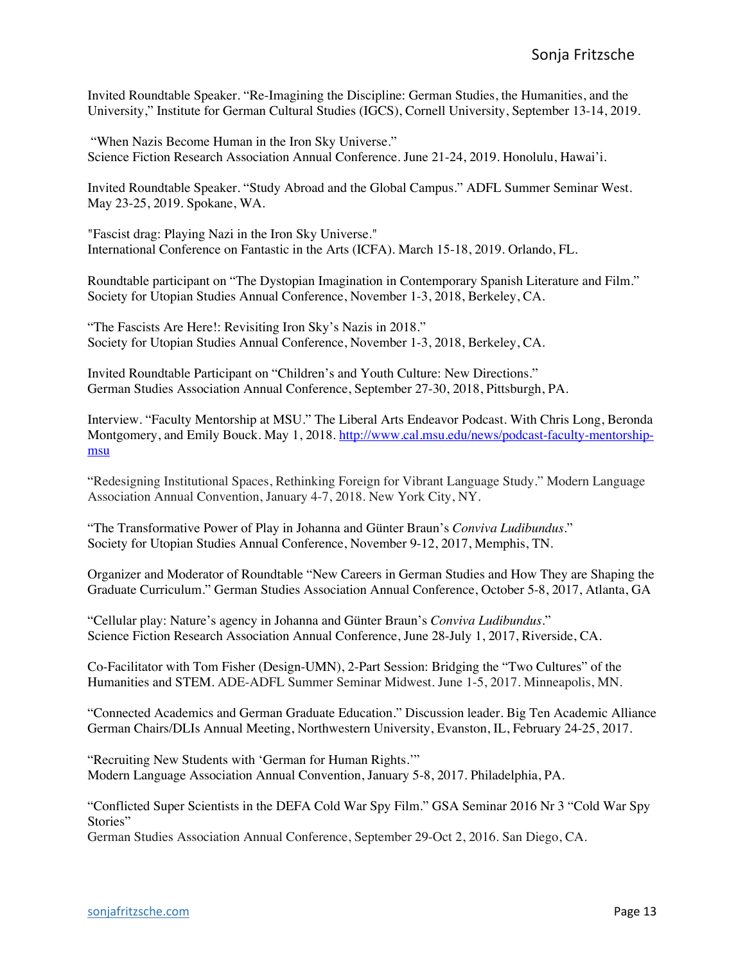Invited Roundtable Speaker. "Re-Imagining the Discipline: German Studies, the Humanities, and the University," Institute for German Cultural Studies (IGCS), Cornell University, September 13-14, 2019.

"When Nazis Become Human in the Iron Sky Universe." Science Fiction Research Association Annual Conference. June 21-24, 2019. Honolulu, Hawai'i.

Invited Roundtable Speaker. "Study Abroad and the Global Campus." ADFL Summer Seminar West. May 23-25, 2019. Spokane, WA.

"Fascist drag: Playing Nazi in the Iron Sky Universe." International Conference on Fantastic in the Arts (ICFA). March 15-18, 2019. Orlando, FL.

Roundtable participant on "The Dystopian Imagination in Contemporary Spanish Literature and Film." Society for Utopian Studies Annual Conference, November 1-3, 2018, Berkeley, CA.

"The Fascists Are Here!: Revisiting Iron Sky's Nazis in 2018." Society for Utopian Studies Annual Conference, November 1-3, 2018, Berkeley, CA.

Invited Roundtable Participant on "Children's and Youth Culture: New Directions." German Studies Association Annual Conference, September 27-30, 2018, Pittsburgh, PA.

Interview. "Faculty Mentorship at MSU." The Liberal Arts Endeavor Podcast. With Chris Long, Beronda Montgomery, and Emily Bouck. May 1, 2018. http://www.cal.msu.edu/news/podcast-faculty-mentorshipmsu

"Redesigning Institutional Spaces, Rethinking Foreign for Vibrant Language Study." Modern Language Association Annual Convention, January 4-7, 2018. New York City, NY.

"The Transformative Power of Play in Johanna and Günter Braun's *Conviva Ludibundus*." Society for Utopian Studies Annual Conference, November 9-12, 2017, Memphis, TN.

Organizer and Moderator of Roundtable "New Careers in German Studies and How They are Shaping the Graduate Curriculum." German Studies Association Annual Conference, October 5-8, 2017, Atlanta, GA

"Cellular play: Nature's agency in Johanna and Günter Braun's *Conviva Ludibundus*." Science Fiction Research Association Annual Conference, June 28-July 1, 2017, Riverside, CA.

Co-Facilitator with Tom Fisher (Design-UMN), 2-Part Session: Bridging the "Two Cultures" of the Humanities and STEM. ADE-ADFL Summer Seminar Midwest. June 1-5, 2017. Minneapolis, MN.

"Connected Academics and German Graduate Education." Discussion leader. Big Ten Academic Alliance German Chairs/DLIs Annual Meeting, Northwestern University, Evanston, IL, February 24-25, 2017.

"Recruiting New Students with 'German for Human Rights.'" Modern Language Association Annual Convention, January 5-8, 2017. Philadelphia, PA.

"Conflicted Super Scientists in the DEFA Cold War Spy Film." GSA Seminar 2016 Nr 3 "Cold War Spy Stories"

German Studies Association Annual Conference, September 29-Oct 2, 2016. San Diego, CA.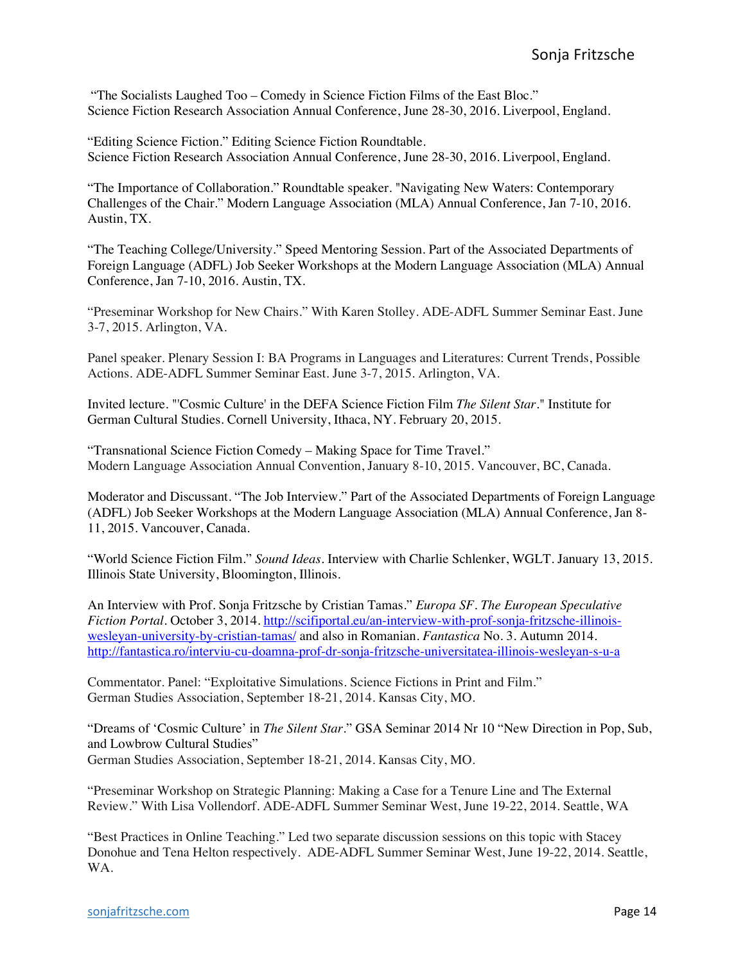"The Socialists Laughed Too – Comedy in Science Fiction Films of the East Bloc." Science Fiction Research Association Annual Conference, June 28-30, 2016. Liverpool, England.

"Editing Science Fiction." Editing Science Fiction Roundtable. Science Fiction Research Association Annual Conference, June 28-30, 2016. Liverpool, England.

"The Importance of Collaboration." Roundtable speaker. "Navigating New Waters: Contemporary Challenges of the Chair." Modern Language Association (MLA) Annual Conference, Jan 7-10, 2016. Austin, TX.

"The Teaching College/University." Speed Mentoring Session. Part of the Associated Departments of Foreign Language (ADFL) Job Seeker Workshops at the Modern Language Association (MLA) Annual Conference, Jan 7-10, 2016. Austin, TX.

"Preseminar Workshop for New Chairs." With Karen Stolley. ADE-ADFL Summer Seminar East. June 3-7, 2015. Arlington, VA.

Panel speaker. Plenary Session I: BA Programs in Languages and Literatures: Current Trends, Possible Actions. ADE-ADFL Summer Seminar East. June 3-7, 2015. Arlington, VA.

Invited lecture. "'Cosmic Culture' in the DEFA Science Fiction Film *The Silent Star.*" Institute for German Cultural Studies. Cornell University, Ithaca, NY. February 20, 2015.

"Transnational Science Fiction Comedy – Making Space for Time Travel." Modern Language Association Annual Convention, January 8-10, 2015. Vancouver, BC, Canada.

Moderator and Discussant. "The Job Interview." Part of the Associated Departments of Foreign Language (ADFL) Job Seeker Workshops at the Modern Language Association (MLA) Annual Conference, Jan 8- 11, 2015. Vancouver, Canada.

"World Science Fiction Film." *Sound Ideas*. Interview with Charlie Schlenker, WGLT. January 13, 2015. Illinois State University, Bloomington, Illinois.

An Interview with Prof. Sonja Fritzsche by Cristian Tamas." *Europa SF. The European Speculative Fiction Portal.* October 3, 2014. http://scifiportal.eu/an-interview-with-prof-sonja-fritzsche-illinoiswesleyan-university-by-cristian-tamas/ and also in Romanian. *Fantastica* No. 3. Autumn 2014. http://fantastica.ro/interviu-cu-doamna-prof-dr-sonja-fritzsche-universitatea-illinois-wesleyan-s-u-a

Commentator. Panel: "Exploitative Simulations. Science Fictions in Print and Film." German Studies Association, September 18-21, 2014. Kansas City, MO.

"Dreams of 'Cosmic Culture' in *The Silent Star*." GSA Seminar 2014 Nr 10 "New Direction in Pop, Sub, and Lowbrow Cultural Studies" German Studies Association, September 18-21, 2014. Kansas City, MO.

"Preseminar Workshop on Strategic Planning: Making a Case for a Tenure Line and The External Review." With Lisa Vollendorf. ADE-ADFL Summer Seminar West, June 19-22, 2014. Seattle, WA

"Best Practices in Online Teaching." Led two separate discussion sessions on this topic with Stacey Donohue and Tena Helton respectively. ADE-ADFL Summer Seminar West, June 19-22, 2014. Seattle, WA.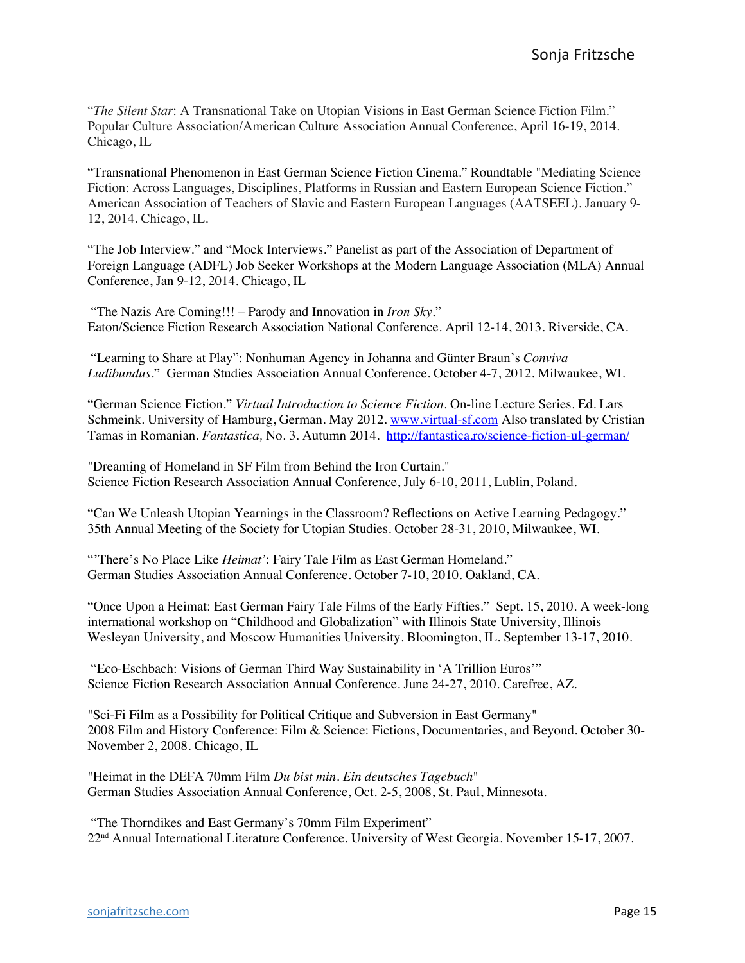"*The Silent Star*: A Transnational Take on Utopian Visions in East German Science Fiction Film." Popular Culture Association/American Culture Association Annual Conference, April 16-19, 2014. Chicago, IL

"Transnational Phenomenon in East German Science Fiction Cinema." Roundtable "Mediating Science Fiction: Across Languages, Disciplines, Platforms in Russian and Eastern European Science Fiction." American Association of Teachers of Slavic and Eastern European Languages (AATSEEL). January 9- 12, 2014. Chicago, IL.

"The Job Interview." and "Mock Interviews." Panelist as part of the Association of Department of Foreign Language (ADFL) Job Seeker Workshops at the Modern Language Association (MLA) Annual Conference, Jan 9-12, 2014. Chicago, IL

"The Nazis Are Coming!!! – Parody and Innovation in *Iron Sky*." Eaton/Science Fiction Research Association National Conference. April 12-14, 2013. Riverside, CA.

"Learning to Share at Play": Nonhuman Agency in Johanna and Günter Braun's *Conviva Ludibundus*." German Studies Association Annual Conference. October 4-7, 2012. Milwaukee, WI.

"German Science Fiction." *Virtual Introduction to Science Fiction*. On-line Lecture Series. Ed. Lars Schmeink. University of Hamburg, German. May 2012. www.virtual-sf.com Also translated by Cristian Tamas in Romanian. *Fantastica,* No. 3. Autumn 2014. http://fantastica.ro/science-fiction-ul-german/

"Dreaming of Homeland in SF Film from Behind the Iron Curtain." Science Fiction Research Association Annual Conference, July 6-10, 2011, Lublin, Poland.

"Can We Unleash Utopian Yearnings in the Classroom? Reflections on Active Learning Pedagogy." 35th Annual Meeting of the Society for Utopian Studies. October 28-31, 2010, Milwaukee, WI.

"'There's No Place Like *Heimat'*: Fairy Tale Film as East German Homeland." German Studies Association Annual Conference. October 7-10, 2010. Oakland, CA.

"Once Upon a Heimat: East German Fairy Tale Films of the Early Fifties." Sept. 15, 2010. A week-long international workshop on "Childhood and Globalization" with Illinois State University, Illinois Wesleyan University, and Moscow Humanities University. Bloomington, IL. September 13-17, 2010.

"Eco-Eschbach: Visions of German Third Way Sustainability in 'A Trillion Euros'" Science Fiction Research Association Annual Conference. June 24-27, 2010. Carefree, AZ.

"Sci-Fi Film as a Possibility for Political Critique and Subversion in East Germany" 2008 Film and History Conference: Film & Science: Fictions, Documentaries, and Beyond. October 30- November 2, 2008. Chicago, IL

"Heimat in the DEFA 70mm Film *Du bist min. Ein deutsches Tagebuch*" German Studies Association Annual Conference, Oct. 2-5, 2008, St. Paul, Minnesota.

"The Thorndikes and East Germany's 70mm Film Experiment" 22nd Annual International Literature Conference. University of West Georgia. November 15-17, 2007.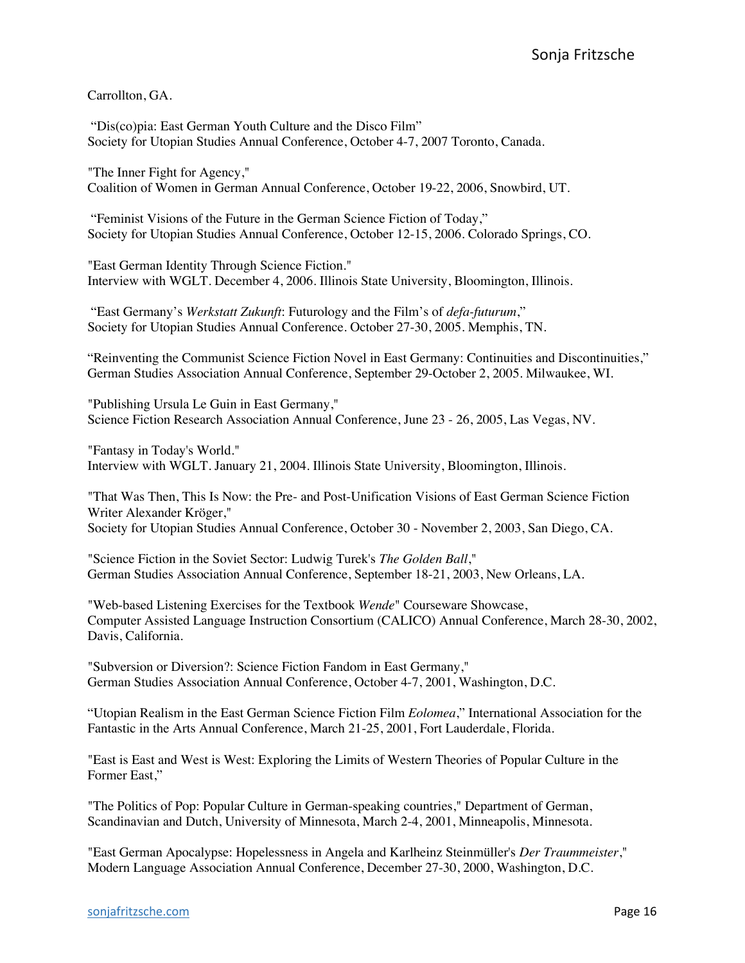Carrollton, GA.

"Dis(co)pia: East German Youth Culture and the Disco Film" Society for Utopian Studies Annual Conference, October 4-7, 2007 Toronto, Canada.

"The Inner Fight for Agency," Coalition of Women in German Annual Conference, October 19-22, 2006, Snowbird, UT.

"Feminist Visions of the Future in the German Science Fiction of Today," Society for Utopian Studies Annual Conference, October 12-15, 2006. Colorado Springs, CO.

"East German Identity Through Science Fiction." Interview with WGLT. December 4, 2006. Illinois State University, Bloomington, Illinois.

"East Germany's *Werkstatt Zukunft*: Futurology and the Film's of *defa-futurum*," Society for Utopian Studies Annual Conference. October 27-30, 2005. Memphis, TN.

"Reinventing the Communist Science Fiction Novel in East Germany: Continuities and Discontinuities," German Studies Association Annual Conference, September 29-October 2, 2005. Milwaukee, WI.

"Publishing Ursula Le Guin in East Germany," Science Fiction Research Association Annual Conference, June 23 - 26, 2005, Las Vegas, NV.

"Fantasy in Today's World." Interview with WGLT. January 21, 2004. Illinois State University, Bloomington, Illinois.

"That Was Then, This Is Now: the Pre- and Post-Unification Visions of East German Science Fiction Writer Alexander Kröger," Society for Utopian Studies Annual Conference, October 30 - November 2, 2003, San Diego, CA.

"Science Fiction in the Soviet Sector: Ludwig Turek's *The Golden Ball*," German Studies Association Annual Conference, September 18-21, 2003, New Orleans, LA.

"Web-based Listening Exercises for the Textbook *Wende*" Courseware Showcase, Computer Assisted Language Instruction Consortium (CALICO) Annual Conference, March 28-30, 2002, Davis, California.

"Subversion or Diversion?: Science Fiction Fandom in East Germany," German Studies Association Annual Conference, October 4-7, 2001, Washington, D.C.

"Utopian Realism in the East German Science Fiction Film *Eolomea*," International Association for the Fantastic in the Arts Annual Conference, March 21-25, 2001, Fort Lauderdale, Florida.

"East is East and West is West: Exploring the Limits of Western Theories of Popular Culture in the Former East,"

"The Politics of Pop: Popular Culture in German-speaking countries," Department of German, Scandinavian and Dutch, University of Minnesota, March 2-4, 2001, Minneapolis, Minnesota.

"East German Apocalypse: Hopelessness in Angela and Karlheinz Steinmüller's *Der Traummeister*," Modern Language Association Annual Conference, December 27-30, 2000, Washington, D.C.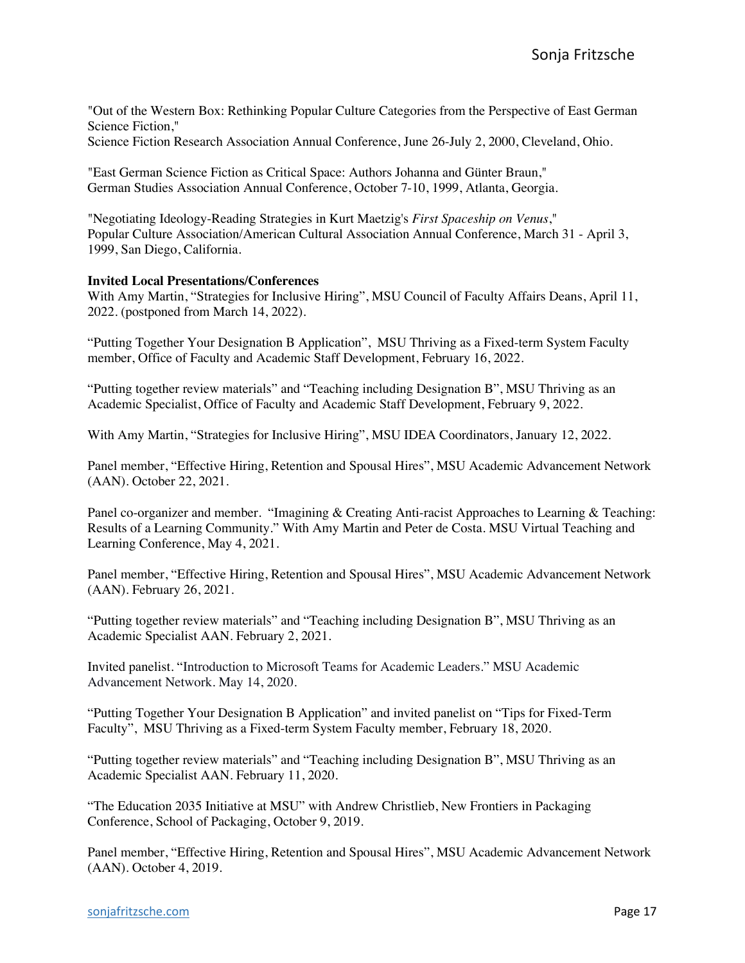"Out of the Western Box: Rethinking Popular Culture Categories from the Perspective of East German Science Fiction,"

Science Fiction Research Association Annual Conference, June 26-July 2, 2000, Cleveland, Ohio.

"East German Science Fiction as Critical Space: Authors Johanna and Günter Braun," German Studies Association Annual Conference, October 7-10, 1999, Atlanta, Georgia.

"Negotiating Ideology-Reading Strategies in Kurt Maetzig's *First Spaceship on Venus*," Popular Culture Association/American Cultural Association Annual Conference, March 31 - April 3, 1999, San Diego, California.

### **Invited Local Presentations/Conferences**

With Amy Martin, "Strategies for Inclusive Hiring", MSU Council of Faculty Affairs Deans, April 11, 2022. (postponed from March 14, 2022).

"Putting Together Your Designation B Application", MSU Thriving as a Fixed-term System Faculty member, Office of Faculty and Academic Staff Development, February 16, 2022.

"Putting together review materials" and "Teaching including Designation B", MSU Thriving as an Academic Specialist, Office of Faculty and Academic Staff Development, February 9, 2022.

With Amy Martin, "Strategies for Inclusive Hiring", MSU IDEA Coordinators, January 12, 2022.

Panel member, "Effective Hiring, Retention and Spousal Hires", MSU Academic Advancement Network (AAN). October 22, 2021.

Panel co-organizer and member. "Imagining & Creating Anti-racist Approaches to Learning & Teaching: Results of a Learning Community." With Amy Martin and Peter de Costa. MSU Virtual Teaching and Learning Conference, May 4, 2021.

Panel member, "Effective Hiring, Retention and Spousal Hires", MSU Academic Advancement Network (AAN). February 26, 2021.

"Putting together review materials" and "Teaching including Designation B", MSU Thriving as an Academic Specialist AAN. February 2, 2021.

Invited panelist. "Introduction to Microsoft Teams for Academic Leaders." MSU Academic Advancement Network. May 14, 2020.

"Putting Together Your Designation B Application" and invited panelist on "Tips for Fixed-Term Faculty", MSU Thriving as a Fixed-term System Faculty member, February 18, 2020.

"Putting together review materials" and "Teaching including Designation B", MSU Thriving as an Academic Specialist AAN. February 11, 2020.

"The Education 2035 Initiative at MSU" with Andrew Christlieb, New Frontiers in Packaging Conference, School of Packaging, October 9, 2019.

Panel member, "Effective Hiring, Retention and Spousal Hires", MSU Academic Advancement Network (AAN). October 4, 2019.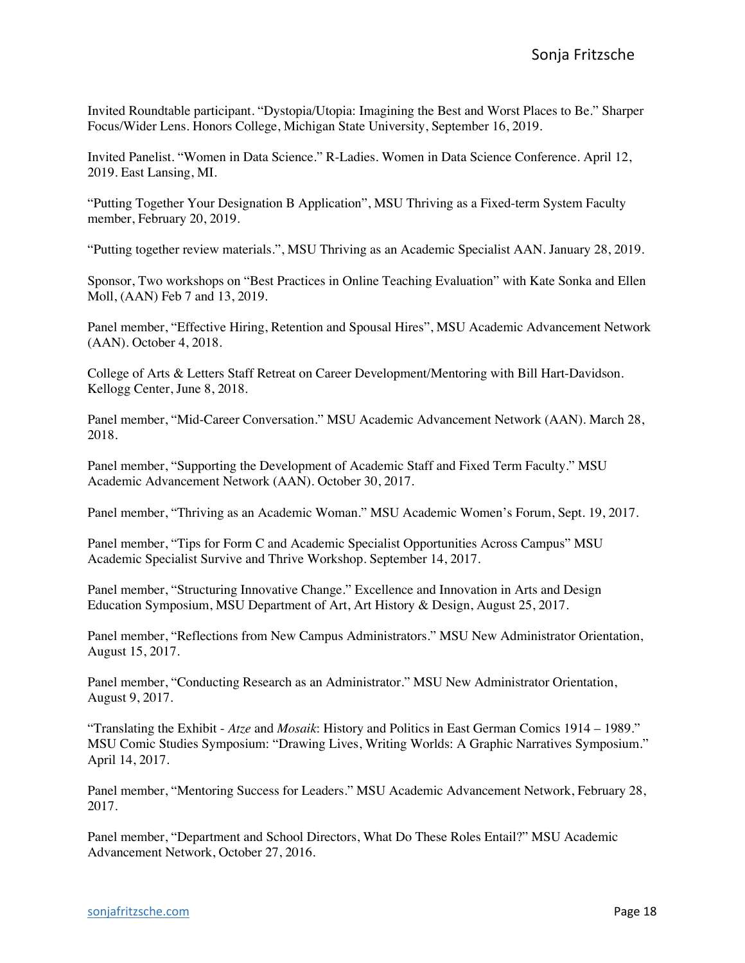Invited Roundtable participant. "Dystopia/Utopia: Imagining the Best and Worst Places to Be." Sharper Focus/Wider Lens. Honors College, Michigan State University, September 16, 2019.

Invited Panelist. "Women in Data Science." R-Ladies. Women in Data Science Conference. April 12, 2019. East Lansing, MI.

"Putting Together Your Designation B Application", MSU Thriving as a Fixed-term System Faculty member, February 20, 2019.

"Putting together review materials.", MSU Thriving as an Academic Specialist AAN. January 28, 2019.

Sponsor, Two workshops on "Best Practices in Online Teaching Evaluation" with Kate Sonka and Ellen Moll, (AAN) Feb 7 and 13, 2019.

Panel member, "Effective Hiring, Retention and Spousal Hires", MSU Academic Advancement Network (AAN). October 4, 2018.

College of Arts & Letters Staff Retreat on Career Development/Mentoring with Bill Hart-Davidson. Kellogg Center, June 8, 2018.

Panel member, "Mid-Career Conversation." MSU Academic Advancement Network (AAN). March 28, 2018.

Panel member, "Supporting the Development of Academic Staff and Fixed Term Faculty." MSU Academic Advancement Network (AAN). October 30, 2017.

Panel member, "Thriving as an Academic Woman." MSU Academic Women's Forum, Sept. 19, 2017.

Panel member, "Tips for Form C and Academic Specialist Opportunities Across Campus" MSU Academic Specialist Survive and Thrive Workshop. September 14, 2017.

Panel member, "Structuring Innovative Change." Excellence and Innovation in Arts and Design Education Symposium, MSU Department of Art, Art History & Design, August 25, 2017.

Panel member, "Reflections from New Campus Administrators." MSU New Administrator Orientation, August 15, 2017.

Panel member, "Conducting Research as an Administrator." MSU New Administrator Orientation, August 9, 2017.

"Translating the Exhibit - *Atze* and *Mosaik*: History and Politics in East German Comics 1914 – 1989." MSU Comic Studies Symposium: "Drawing Lives, Writing Worlds: A Graphic Narratives Symposium." April 14, 2017.

Panel member, "Mentoring Success for Leaders." MSU Academic Advancement Network, February 28, 2017.

Panel member, "Department and School Directors, What Do These Roles Entail?" MSU Academic Advancement Network, October 27, 2016.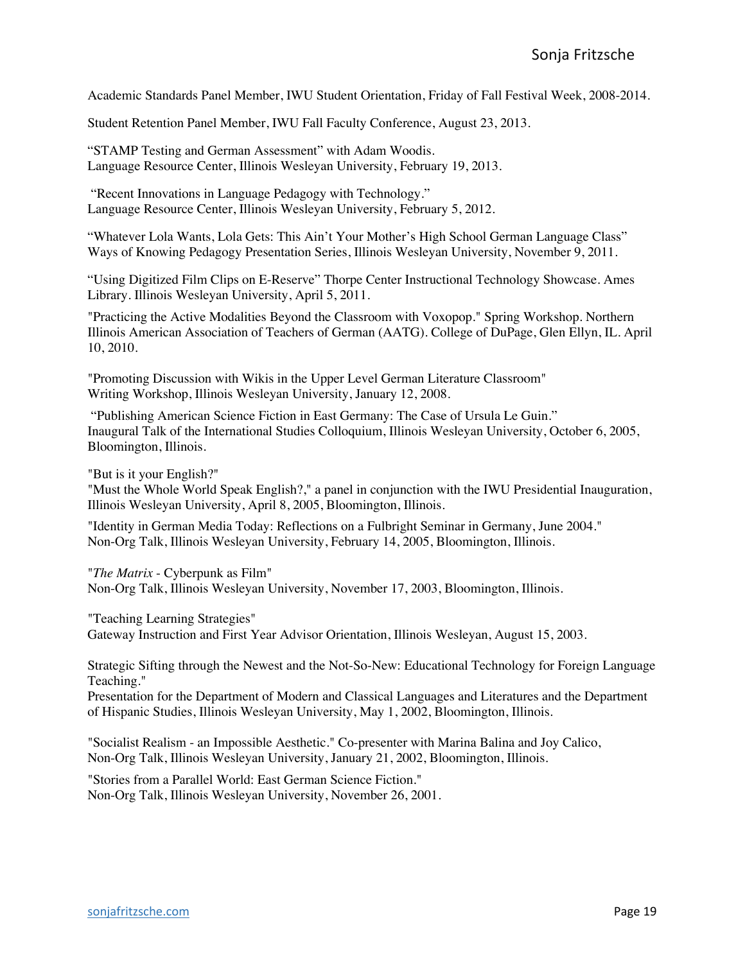Academic Standards Panel Member, IWU Student Orientation, Friday of Fall Festival Week, 2008-2014.

Student Retention Panel Member, IWU Fall Faculty Conference, August 23, 2013.

"STAMP Testing and German Assessment" with Adam Woodis. Language Resource Center, Illinois Wesleyan University, February 19, 2013.

"Recent Innovations in Language Pedagogy with Technology." Language Resource Center, Illinois Wesleyan University, February 5, 2012.

"Whatever Lola Wants, Lola Gets: This Ain't Your Mother's High School German Language Class" Ways of Knowing Pedagogy Presentation Series, Illinois Wesleyan University, November 9, 2011.

"Using Digitized Film Clips on E-Reserve" Thorpe Center Instructional Technology Showcase. Ames Library. Illinois Wesleyan University, April 5, 2011.

"Practicing the Active Modalities Beyond the Classroom with Voxopop." Spring Workshop. Northern Illinois American Association of Teachers of German (AATG). College of DuPage, Glen Ellyn, IL. April 10, 2010.

"Promoting Discussion with Wikis in the Upper Level German Literature Classroom" Writing Workshop, Illinois Wesleyan University, January 12, 2008.

"Publishing American Science Fiction in East Germany: The Case of Ursula Le Guin." Inaugural Talk of the International Studies Colloquium, Illinois Wesleyan University, October 6, 2005, Bloomington, Illinois.

"But is it your English?"

"Must the Whole World Speak English?," a panel in conjunction with the IWU Presidential Inauguration, Illinois Wesleyan University, April 8, 2005, Bloomington, Illinois.

"Identity in German Media Today: Reflections on a Fulbright Seminar in Germany, June 2004." Non-Org Talk, Illinois Wesleyan University, February 14, 2005, Bloomington, Illinois.

"*The Matrix* - Cyberpunk as Film"

Non-Org Talk, Illinois Wesleyan University, November 17, 2003, Bloomington, Illinois.

"Teaching Learning Strategies"

Gateway Instruction and First Year Advisor Orientation, Illinois Wesleyan, August 15, 2003.

Strategic Sifting through the Newest and the Not-So-New: Educational Technology for Foreign Language Teaching."

Presentation for the Department of Modern and Classical Languages and Literatures and the Department of Hispanic Studies, Illinois Wesleyan University, May 1, 2002, Bloomington, Illinois.

"Socialist Realism - an Impossible Aesthetic." Co-presenter with Marina Balina and Joy Calico, Non-Org Talk, Illinois Wesleyan University, January 21, 2002, Bloomington, Illinois.

"Stories from a Parallel World: East German Science Fiction." Non-Org Talk, Illinois Wesleyan University, November 26, 2001.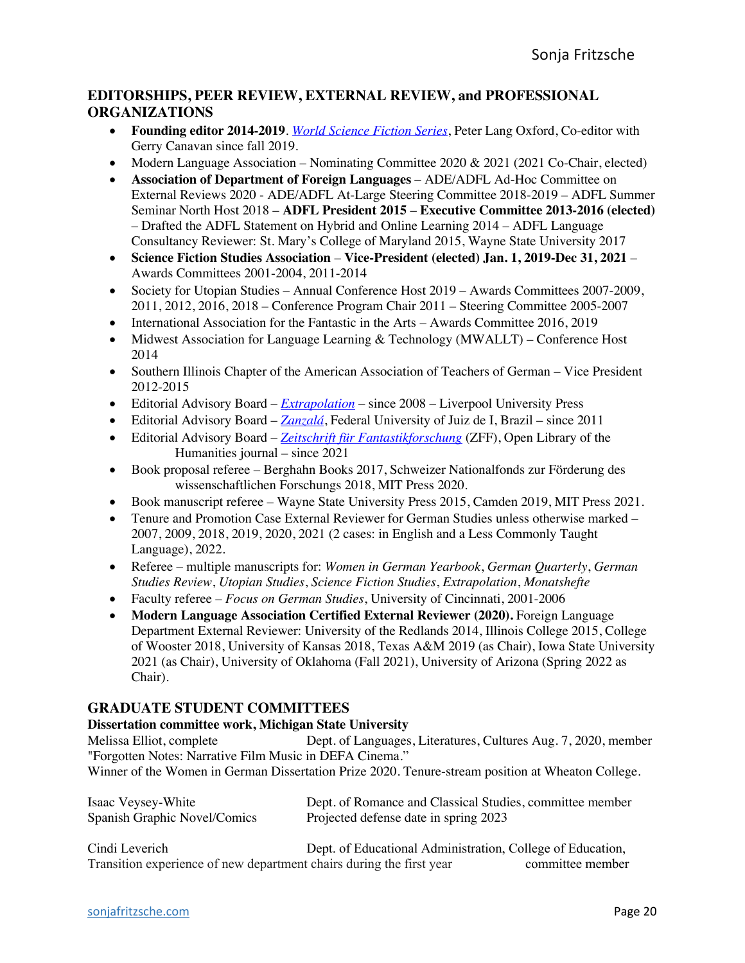## **EDITORSHIPS, PEER REVIEW, EXTERNAL REVIEW, and PROFESSIONAL ORGANIZATIONS**

- **Founding editor 2014-2019**. *World Science Fiction Series*, Peter Lang Oxford, Co-editor with Gerry Canavan since fall 2019.
- Modern Language Association Nominating Committee 2020 & 2021 (2021 Co-Chair, elected)
- **Association of Department of Foreign Languages** ADE/ADFL Ad-Hoc Committee on External Reviews 2020 - ADE/ADFL At-Large Steering Committee 2018-2019 – ADFL Summer Seminar North Host 2018 – **ADFL President 2015** – **Executive Committee 2013-2016 (elected)** – Drafted the ADFL Statement on Hybrid and Online Learning 2014 – ADFL Language Consultancy Reviewer: St. Mary's College of Maryland 2015, Wayne State University 2017
- **Science Fiction Studies Association Vice-President (elected) Jan. 1, 2019-Dec 31, 2021** Awards Committees 2001-2004, 2011-2014
- Society for Utopian Studies Annual Conference Host 2019 Awards Committees 2007-2009, 2011, 2012, 2016, 2018 – Conference Program Chair 2011 – Steering Committee 2005-2007
- International Association for the Fantastic in the Arts Awards Committee 2016, 2019
- Midwest Association for Language Learning & Technology (MWALLT) Conference Host 2014
- Southern Illinois Chapter of the American Association of Teachers of German Vice President 2012-2015
- Editorial Advisory Board *Extrapolation* since 2008 Liverpool University Press
- Editorial Advisory Board *Zanzalá*, Federal University of Juiz de I, Brazil since 2011
- Editorial Advisory Board *Zeitschrift für Fantastikforschung* (ZFF), Open Library of the Humanities journal – since 2021
- Book proposal referee Berghahn Books 2017, Schweizer Nationalfonds zur Förderung des wissenschaftlichen Forschungs 2018, MIT Press 2020.
- Book manuscript referee Wayne State University Press 2015, Camden 2019, MIT Press 2021.
- Tenure and Promotion Case External Reviewer for German Studies unless otherwise marked 2007, 2009, 2018, 2019, 2020, 2021 (2 cases: in English and a Less Commonly Taught Language), 2022.
- Referee multiple manuscripts for: *Women in German Yearbook*, *German Quarterly*, *German Studies Review*, *Utopian Studies*, *Science Fiction Studies*, *Extrapolation*, *Monatshefte*
- Faculty referee *Focus on German Studies*, University of Cincinnati, 2001-2006
- **Modern Language Association Certified External Reviewer (2020).** Foreign Language Department External Reviewer: University of the Redlands 2014, Illinois College 2015, College of Wooster 2018, University of Kansas 2018, Texas A&M 2019 (as Chair), Iowa State University 2021 (as Chair), University of Oklahoma (Fall 2021), University of Arizona (Spring 2022 as Chair).

## **GRADUATE STUDENT COMMITTEES**

## **Dissertation committee work, Michigan State University**

Melissa Elliot, complete Dept. of Languages, Literatures, Cultures Aug. 7, 2020, member "Forgotten Notes: Narrative Film Music in DEFA Cinema."

Winner of the Women in German Dissertation Prize 2020. Tenure-stream position at Wheaton College.

| Isaac Veysey-White           | Dept. of Romance and Classical Studies, committee member                                                                                                                                               |
|------------------------------|--------------------------------------------------------------------------------------------------------------------------------------------------------------------------------------------------------|
| Spanish Graphic Novel/Comics | Projected defense date in spring 2023                                                                                                                                                                  |
| $\bigcap_{i=1}^{n}$ 1. I.    | $\mathbf{D}_{\text{out}}$ of $\mathbf{D}_{\text{in}}$ is a set of $\mathbf{A}_{\text{out}}$ is the set of $\mathbf{C}_{\text{out}}$ in $\mathbf{C}_{\text{out}}$ is a set of $\mathbf{D}_{\text{out}}$ |

Cindi Leverich Dept. of Educational Administration, College of Education, Transition experience of new department chairs during the first year committee member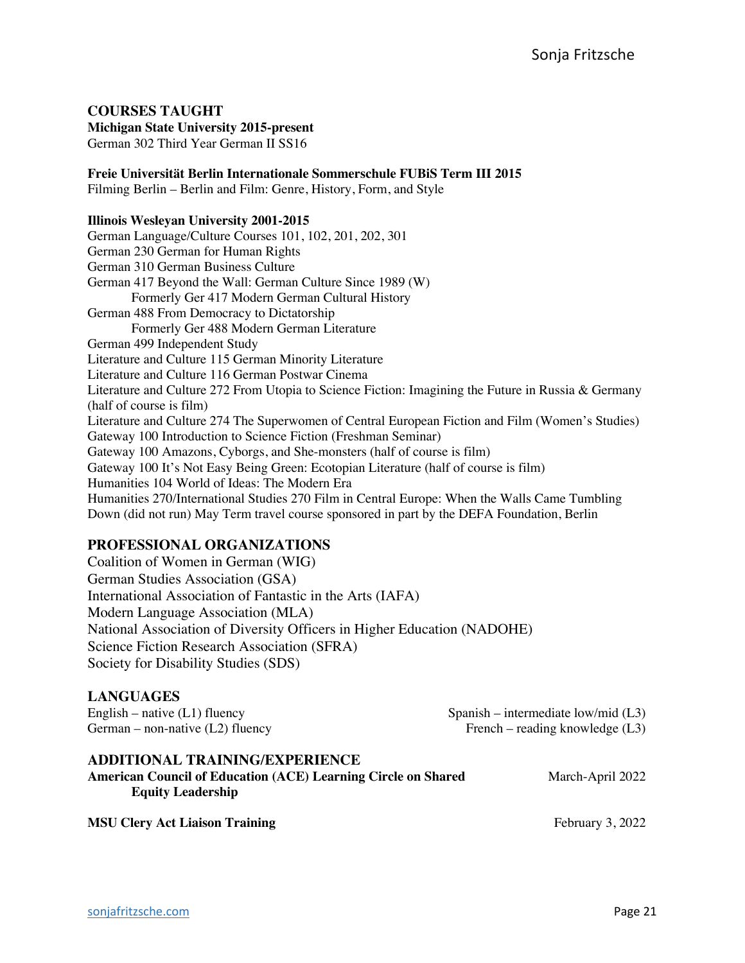## **COURSES TAUGHT**

**Michigan State University 2015-present**

German 302 Third Year German II SS16

**Freie Universität Berlin Internationale Sommerschule FUBiS Term III 2015** Filming Berlin – Berlin and Film: Genre, History, Form, and Style

#### **Illinois Wesleyan University 2001-2015**

German Language/Culture Courses 101, 102, 201, 202, 301 German 230 German for Human Rights German 310 German Business Culture German 417 Beyond the Wall: German Culture Since 1989 (W) Formerly Ger 417 Modern German Cultural History German 488 From Democracy to Dictatorship Formerly Ger 488 Modern German Literature German 499 Independent Study Literature and Culture 115 German Minority Literature Literature and Culture 116 German Postwar Cinema Literature and Culture 272 From Utopia to Science Fiction: Imagining the Future in Russia & Germany (half of course is film) Literature and Culture 274 The Superwomen of Central European Fiction and Film (Women's Studies) Gateway 100 Introduction to Science Fiction (Freshman Seminar) Gateway 100 Amazons, Cyborgs, and She-monsters (half of course is film) Gateway 100 It's Not Easy Being Green: Ecotopian Literature (half of course is film) Humanities 104 World of Ideas: The Modern Era Humanities 270/International Studies 270 Film in Central Europe: When the Walls Came Tumbling Down (did not run) May Term travel course sponsored in part by the DEFA Foundation, Berlin

### **PROFESSIONAL ORGANIZATIONS**

Coalition of Women in German (WIG) German Studies Association (GSA) International Association of Fantastic in the Arts (IAFA) Modern Language Association (MLA) National Association of Diversity Officers in Higher Education (NADOHE) Science Fiction Research Association (SFRA) Society for Disability Studies (SDS)

### **LANGUAGES**

| English – native $(L1)$ fluency    | Spanish – intermediate low/mid $(L3)$ |
|------------------------------------|---------------------------------------|
| German – non-native $(L2)$ fluency | French – reading knowledge $(L3)$     |

### **ADDITIONAL TRAINING/EXPERIENCE**

| <b>American Council of Education (ACE) Learning Circle on Shared</b> | March-April 2022 |
|----------------------------------------------------------------------|------------------|
| <b>Equity Leadership</b>                                             |                  |
|                                                                      |                  |

**MSU Clery Act Liaison Training** February 3, 2022